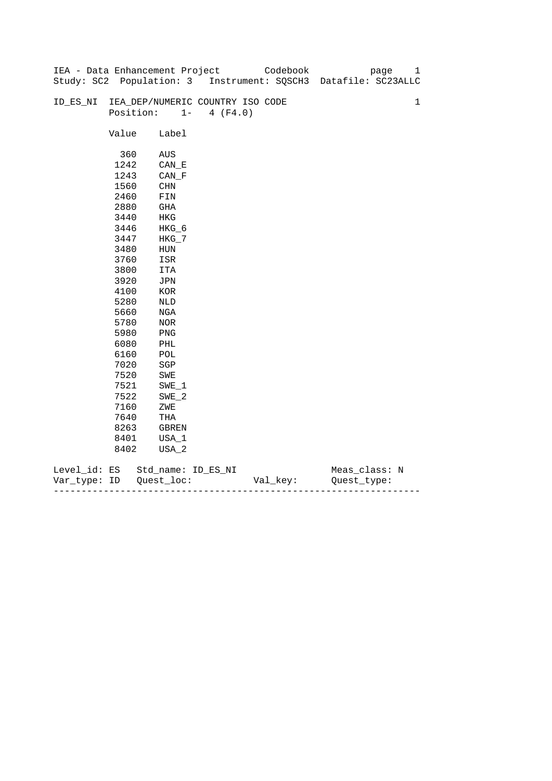|              |           |              | IEA - Data Enhancement Project   | Codebook | 1<br>page                                                      |
|--------------|-----------|--------------|----------------------------------|----------|----------------------------------------------------------------|
|              |           |              |                                  |          | Study: SC2 Population: 3 Instrument: SQSCH3 Datafile: SC23ALLC |
|              |           |              |                                  |          |                                                                |
| ID_ES_NI     |           |              | IEA_DEP/NUMERIC COUNTRY ISO CODE |          | $\mathbf 1$                                                    |
|              | Position: | $1 -$        | 4 (F4.0)                         |          |                                                                |
|              |           |              |                                  |          |                                                                |
|              | Value     | Label        |                                  |          |                                                                |
|              |           |              |                                  |          |                                                                |
|              | 360       | AUS          |                                  |          |                                                                |
|              | 1242      | CAN E        |                                  |          |                                                                |
|              | 1243      | $CAN_F$      |                                  |          |                                                                |
|              | 1560      | CHN          |                                  |          |                                                                |
|              | 2460      | FIN          |                                  |          |                                                                |
|              | 2880      | GHA          |                                  |          |                                                                |
|              | 3440      | HKG          |                                  |          |                                                                |
|              | 3446      | HKG_6        |                                  |          |                                                                |
|              | 3447      | $HKG_7$      |                                  |          |                                                                |
|              | 3480      | HUN          |                                  |          |                                                                |
|              | 3760      | ISR          |                                  |          |                                                                |
|              | 3800      | ITA          |                                  |          |                                                                |
|              | 3920      | JPN          |                                  |          |                                                                |
|              | 4100      | $_{\rm KOR}$ |                                  |          |                                                                |
|              | 5280      | $\rm NLD$    |                                  |          |                                                                |
|              | 5660      | NGA          |                                  |          |                                                                |
|              | 5780      | NOR          |                                  |          |                                                                |
|              | 5980      | PNG          |                                  |          |                                                                |
|              | 6080      | PHL          |                                  |          |                                                                |
|              | 6160      | POL          |                                  |          |                                                                |
|              | 7020      | $_{\rm SGP}$ |                                  |          |                                                                |
|              | 7520      | SWE          |                                  |          |                                                                |
|              | 7521      | $SWE_1$      |                                  |          |                                                                |
|              | 7522      | $SWE_2$      |                                  |          |                                                                |
|              | 7160      | ZWE          |                                  |          |                                                                |
|              | 7640      | THA          |                                  |          |                                                                |
|              | 8263      | GBREN        |                                  |          |                                                                |
|              | 8401      | USA_1        |                                  |          |                                                                |
|              | 8402      | USA_2        |                                  |          |                                                                |
|              |           |              |                                  |          |                                                                |
| Level_id: ES |           |              | Std_name: ID_ES_NI               |          | Meas_class: N                                                  |

| Var<br>тvpe.<br>. | TΡ | $ -$ | - |
|-------------------|----|------|---|
|                   |    |      |   |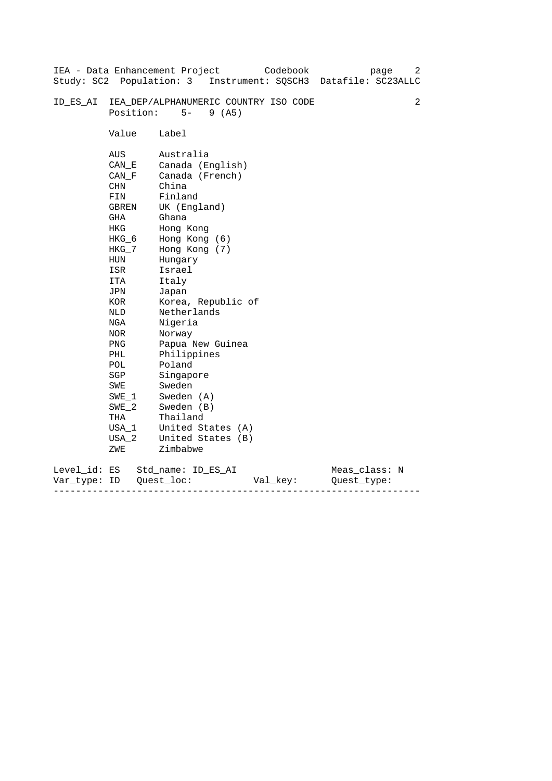|                              |                                                                                                                                                                                                                    | Codebook<br>IEA - Data Enhancement Project<br>page<br>Study: SC2 Population: 3 Instrument: SQSCH3 Datafile: SC23ALLC                                                                                                                                                                                                                                                           | 2 |
|------------------------------|--------------------------------------------------------------------------------------------------------------------------------------------------------------------------------------------------------------------|--------------------------------------------------------------------------------------------------------------------------------------------------------------------------------------------------------------------------------------------------------------------------------------------------------------------------------------------------------------------------------|---|
| ID ES AI                     | Position:                                                                                                                                                                                                          | IEA_DEP/ALPHANUMERIC COUNTRY ISO CODE<br>$5-$<br>9(AB)                                                                                                                                                                                                                                                                                                                         | 2 |
|                              | Value                                                                                                                                                                                                              | Label                                                                                                                                                                                                                                                                                                                                                                          |   |
|                              | AUS<br>CAN E<br>CAN F<br>CHN<br>FIN<br>GBREN<br>GHA<br>HKG<br>HKG_6<br>HKG_7<br>HUN<br>ISR<br>ITA<br>JPN<br>KOR<br>NLD<br>NGA<br>NOR<br><b>PNG</b><br>PHL<br>POL<br>SGP<br>SWE<br>SWE 1<br>$SWE_2$<br>THA<br>USA_1 | Australia<br>Canada (English)<br>Canada (French)<br>China<br>Finland<br>UK (England)<br>Ghana<br>Hong Kong<br>Hong Kong (6)<br>Hong Kong (7)<br>Hungary<br>Israel<br>Italy<br>Japan<br>Korea, Republic of<br>Netherlands<br>Nigeria<br>Norway<br>Papua New Guinea<br>Philippines<br>Poland<br>Singapore<br>Sweden<br>Sweden (A)<br>Sweden (B)<br>Thailand<br>United States (A) |   |
|                              | $USA_2$<br>ZWE                                                                                                                                                                                                     | United States (B)<br>Zimbabwe                                                                                                                                                                                                                                                                                                                                                  |   |
| Level_id: ES<br>Var type: ID |                                                                                                                                                                                                                    | Meas_class: N<br>Std name: ID ES AI<br>Quest loc:<br>Val_key:<br>Ouest type:                                                                                                                                                                                                                                                                                                   |   |

------------------------------------------------------------------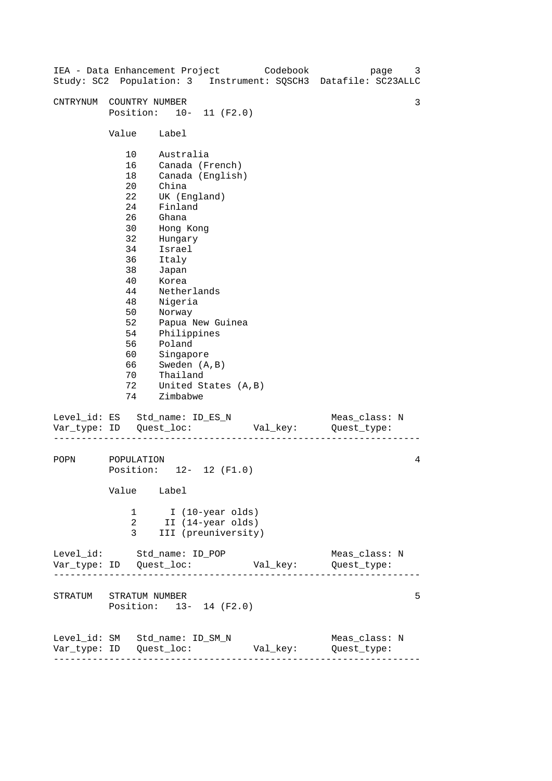| IEA - Data Enhancement Project Codebook                         |                                                                                                                                  |                                                                                                                                                                                                                                               |                                      |  | page<br>Study: SC2 Population: 3 Instrument: SQSCH3 Datafile: SC23ALLC | 3 |
|-----------------------------------------------------------------|----------------------------------------------------------------------------------------------------------------------------------|-----------------------------------------------------------------------------------------------------------------------------------------------------------------------------------------------------------------------------------------------|--------------------------------------|--|------------------------------------------------------------------------|---|
| CNTRYNUM COUNTRY NUMBER                                         | Position: 10- 11 (F2.0)                                                                                                          |                                                                                                                                                                                                                                               |                                      |  |                                                                        | 3 |
|                                                                 | Value                                                                                                                            | Label                                                                                                                                                                                                                                         |                                      |  |                                                                        |   |
|                                                                 | 10<br>16<br>18<br>20<br>22<br>24<br>26<br>30<br>32<br>34<br>36<br>38<br>40<br>44<br>48<br>50<br>52<br>54<br>56<br>60<br>66<br>70 | Australia<br>Canada (French)<br>China<br>UK (England)<br>Finland<br>Ghana<br>Hong Kong<br>Hungary<br>Israel<br>Italy<br>Japan<br>Korea<br>Netherlands<br>Nigeria<br>Norway<br>Philippines<br>Poland<br>Singapore<br>Sweden (A, B)<br>Thailand | Canada (English)<br>Papua New Guinea |  |                                                                        |   |
|                                                                 | 72<br>74                                                                                                                         | United States (A, B)<br>Zimbabwe                                                                                                                                                                                                              |                                      |  |                                                                        |   |
| Level_id: ES Std_name: ID_ES_N                                  |                                                                                                                                  |                                                                                                                                                                                                                                               |                                      |  | Meas_class: N<br>Val_key: Quest_type:                                  |   |
| POPN                                                            | POPULATION<br>Position: 12- 12 (F1.0)<br>Value Label                                                                             |                                                                                                                                                                                                                                               |                                      |  |                                                                        | 4 |
|                                                                 | 2<br>3                                                                                                                           | 1 I (10-year olds)<br>II (14-year olds)                                                                                                                                                                                                       | III (preuniversity)                  |  |                                                                        |   |
| Level_id: Std_name: ID_POP                                      |                                                                                                                                  |                                                                                                                                                                                                                                               |                                      |  | Meas_class: N                                                          |   |
| STRATUM STRATUM NUMBER                                          | Position: 13- 14 (F2.0)                                                                                                          |                                                                                                                                                                                                                                               |                                      |  |                                                                        | 5 |
| Level_id: SM Std_name: ID_SM_N<br>----------------------------- |                                                                                                                                  |                                                                                                                                                                                                                                               |                                      |  | Meas_class: N<br>Val_key: Quest_type:                                  |   |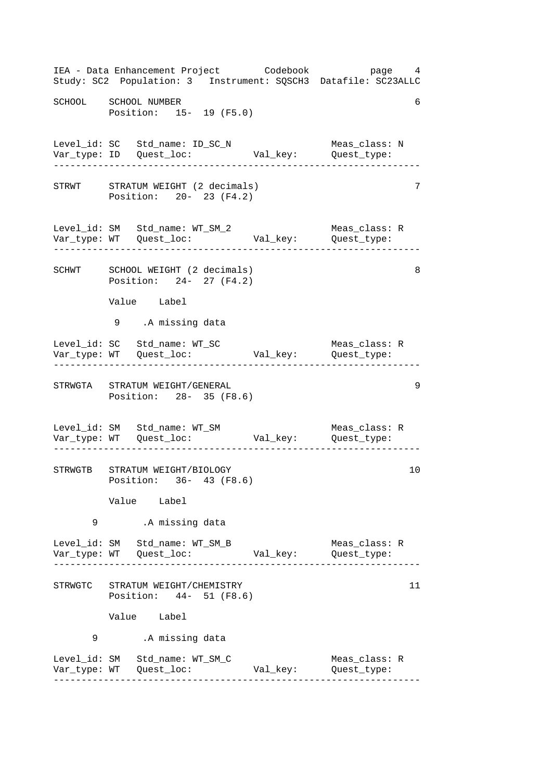------------------------------------------------------------------ ------------------------------------------------------------------ ------------------------------------------------------------------ ------------------------------------------------------------------ ------------------------------------------------------------------ ------------------------------------------------------------------ IEA - Data Enhancement Project Codebook page 4 Study: SC2 Population: 3 Instrument: SQSCH3 Datafile: SC23ALLC SCHOOL SCHOOL NUMBER 6 Position: 15- 19 (F5.0) Level\_id: SC Std\_name: ID\_SC\_N Meas\_class: N Var\_type: ID Quest\_loc: Val\_key: Quest\_type: STRWT STRATUM WEIGHT (2 decimals) 7 Position: 20- 23 (F4.2) Level\_id: SM Std\_name: WT\_SM\_2 Meas\_class: R Var\_type: WT Quest\_loc: Val\_key: Quest\_type: SCHWT SCHOOL WEIGHT (2 decimals) 8 Position: 24- 27 (F4.2) Value Label 9 .A missing data Level\_id: SC Std\_name: WT\_SC Meas\_class: R Var\_type: WT Quest\_loc: Val\_key: Quest\_type: STRWGTA STRATUM WEIGHT/GENERAL 9 Position: 28- 35 (F8.6) Level\_id: SM Std\_name: WT\_SM Meas\_class: R Var\_type: WT Quest\_loc: Val\_key: Quest\_type: STRWGTB STRATUM WEIGHT/BIOLOGY 10 Position: 36- 43 (F8.6) Value Label 9 .A missing data Level\_id: SM Std\_name: WT\_SM\_B Meas\_class: R Var\_type: WT Quest\_loc: Val\_key: Quest\_type: STRWGTC STRATUM WEIGHT/CHEMISTRY 11 Position: 44- 51 (F8.6) Value Label 9 .A missing data Level\_id: SM Std\_name: WT\_SM\_C Meas\_class: R Var\_type: WT Quest\_loc: Val\_key: Quest\_type: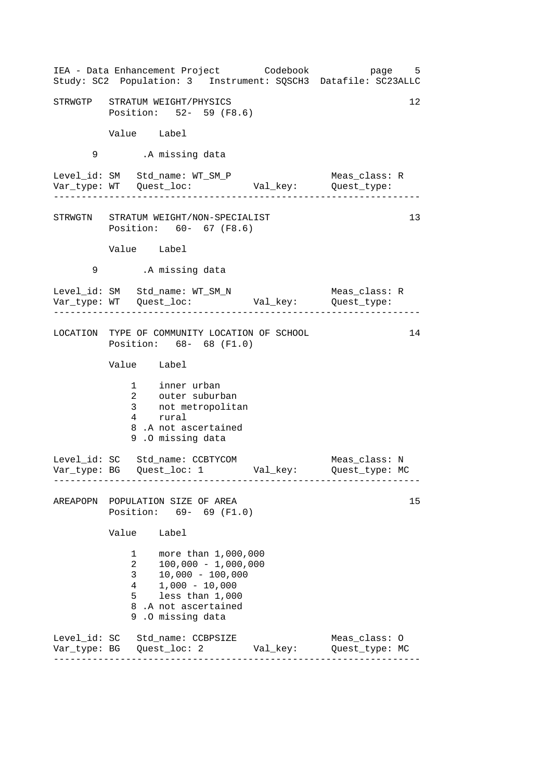|   |                                                                     | IEA - Data Enhancement Project Codebook bage 5<br>Study: SC2 Population: 3 Instrument: SQSCH3 Datafile: SC23ALLC                                       |               |                                                       |    |
|---|---------------------------------------------------------------------|--------------------------------------------------------------------------------------------------------------------------------------------------------|---------------|-------------------------------------------------------|----|
|   |                                                                     | STRWGTP STRATUM WEIGHT/PHYSICS<br>Position: 52- 59 (F8.6)                                                                                              |               |                                                       | 12 |
|   | Value Label                                                         |                                                                                                                                                        |               |                                                       |    |
| 9 |                                                                     | .A missing data                                                                                                                                        |               |                                                       |    |
|   |                                                                     | Level_id: SM Std_name: WT_SM_P                                                                                                                         |               | Meas_class: R<br>. <u>_ _ _ _ _ _ _ _ _ _ _ _</u> _ _ |    |
|   |                                                                     | STRWGTN STRATUM WEIGHT/NON-SPECIALIST<br>Position: 60- 67 (F8.6)                                                                                       |               |                                                       | 13 |
|   | Value Label                                                         |                                                                                                                                                        |               |                                                       |    |
| 9 |                                                                     | .A missing data                                                                                                                                        |               |                                                       |    |
|   |                                                                     | Level_id: SM Std_name: WT_SM_N                                                                                                                         | Meas_class: R |                                                       |    |
|   |                                                                     | LOCATION TYPE OF COMMUNITY LOCATION OF SCHOOL<br>Position: 68- 68 (F1.0)                                                                               |               |                                                       | 14 |
|   | Value Label                                                         |                                                                                                                                                        |               |                                                       |    |
|   |                                                                     | 1 inner urban<br>2 outer suburban<br>3 not metropolitan<br>4 rural<br>8.A not ascertained<br>9.0 missing data                                          |               |                                                       |    |
|   |                                                                     | Level_id: SC Std_name: CCBTYCOM<br>Var_type: BG    Quest_loc: 1    Val_key:    Quest_type: MC                                                          |               | Meas_class: N                                         |    |
|   |                                                                     | AREAPOPN POPULATION SIZE OF AREA<br>Position: 69- 69 (F1.0)                                                                                            |               |                                                       | 15 |
|   | Value                                                               | Label                                                                                                                                                  |               |                                                       |    |
|   | $\mathbf{1}$<br>2<br>3 <sup>7</sup><br>$\frac{4}{ }$<br>$5^{\circ}$ | more than 1,000,000<br>$100,000 - 1,000,000$<br>$10,000 - 100,000$<br>$1,000 - 10,000$<br>less than $1,000$<br>8.A not ascertained<br>9.0 missing data |               |                                                       |    |
|   |                                                                     | Level_id: SC Std_name: CCBPSIZE                                                                                                                        | Val_key:      | Meas_class: 0<br>Quest_type: MC                       |    |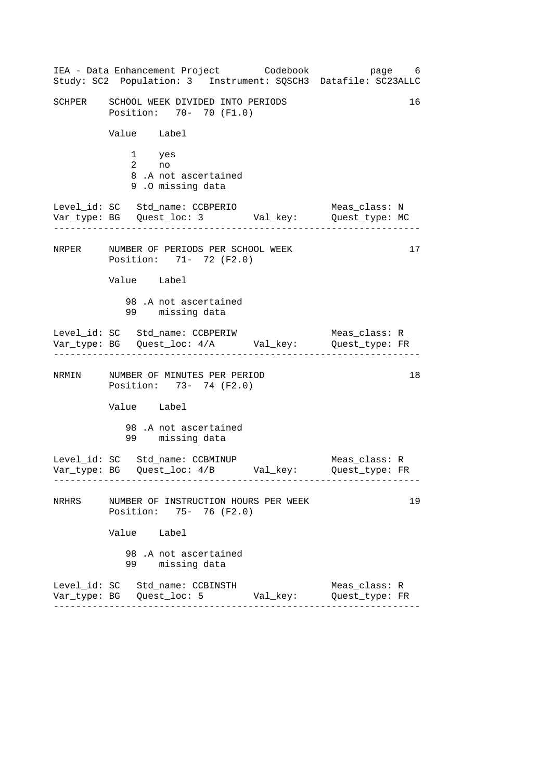------------------------------------------------------------------ ------------------------------------------------------------------ ------------------------------------------------------------------ ------------------------------------------------------------------ IEA - Data Enhancement Project Codebook page 6 Study: SC2 Population: 3 Instrument: SQSCH3 Datafile: SC23ALLC SCHPER SCHOOL WEEK DIVIDED INTO PERIODS 16 Position: 70- 70 (F1.0) Value Label 1 yes 2 no 8 .A not ascertained 9 .O missing data Level\_id: SC Std\_name: CCBPERIO Meas\_class: N Var\_type: BG Quest\_loc: 3 Val\_key: Quest\_type: MC NRPER NUMBER OF PERIODS PER SCHOOL WEEK Position: 71- 72 (F2.0) Value Label 98 .A not ascertained 99 missing data Level\_id: SC Std\_name: CCBPERIW Var\_type: BG Quest\_loc: 4/A Val\_key: Quest\_type: FR Meas\_class: R NRMIN NUMBER OF MINUTES PER PERIOD 18 Position: 73- 74 (F2.0) Value Label 98 .A not ascertained 99 missing data Level\_id: SC Std\_name: CCBMINUP Meas\_class: R Var\_type: BG Quest\_loc: 4/B Val\_key: Quest\_type: FR NRHRS NUMBER OF INSTRUCTION HOURS PER WEEK 19 Position: 75- 76 (F2.0) Value Label 98 .A not ascertained 99 missing data Level\_id: SC Std\_name: CCBINSTH Meas\_class: R Var\_type: BG Quest\_loc: 5 Val\_key: Quest\_type: FR 17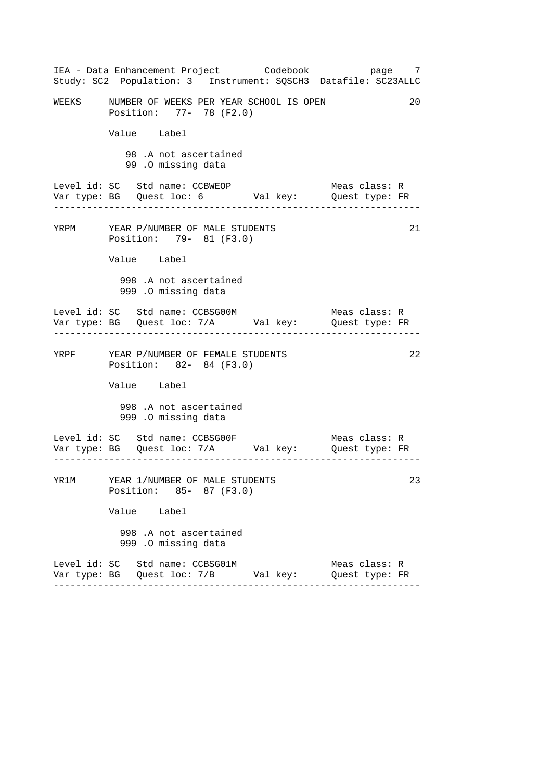------------------------------------------------------------------ ------------------------------------------------------------------ ------------------------------------------------------------------ ------------------------------------------------------------------ IEA - Data Enhancement Project Codebook page 7 Study: SC2 Population: 3 Instrument: SQSCH3 Datafile: SC23ALLC WEEKS NUMBER OF WEEKS PER YEAR SCHOOL IS OPEN 20 Position: 77- 78 (F2.0) Value Label 98 .A not ascertained 99 .O missing data Level\_id: SC Std\_name: CCBWEOP Meas\_class: R Var\_type: BG Quest\_loc: 6 Val\_key: Quest\_type: FR YRPM YEAR P/NUMBER OF MALE STUDENTS 21 Position: 79- 81 (F3.0) Value Label 998 .A not ascertained 999 .O missing data Level\_id: SC Std\_name: CCBSG00M Meas\_class: R Var\_type: BG Quest\_loc: 7/A Val\_key: Quest\_type: FR YRPF YEAR P/NUMBER OF FEMALE STUDENTS 22 Position: 82- 84 (F3.0) Value Label 998 .A not ascertained 999 .O missing data Level\_id: SC Std\_name: CCBSG00F Meas\_class: R Var\_type: BG Quest\_loc: 7/A Val\_key: Quest\_type: FR YR1M YEAR 1/NUMBER OF MALE STUDENTS 23 Position: 85- 87 (F3.0) Value Label 998 .A not ascertained 999 .O missing data Level\_id: SC Std\_name: CCBSG01M Meas\_class: R Var\_type: BG Quest\_loc: 7/B Val\_key: Quest\_type: FR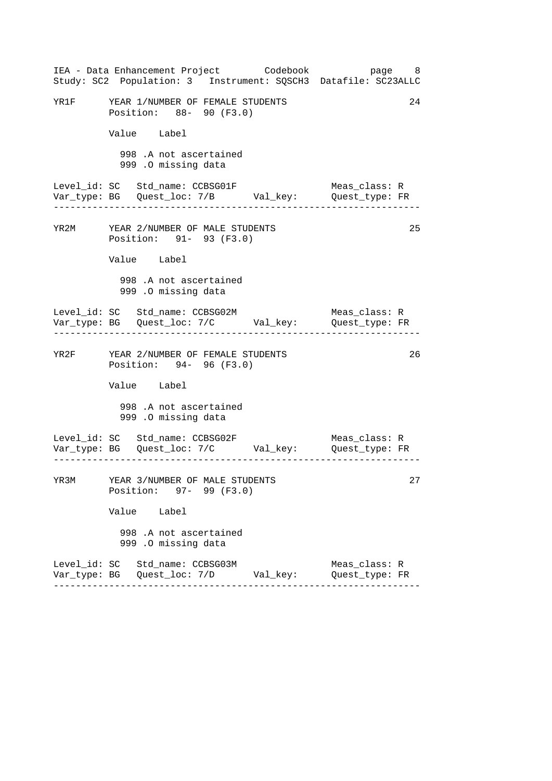|      | IEA - Data Enhancement Project Codebook<br>Study: SC2 Population: 3 Instrument: SQSCH3 Datafile: SC23ALLC | page 8                          |
|------|-----------------------------------------------------------------------------------------------------------|---------------------------------|
|      | YR1F YEAR 1/NUMBER OF FEMALE STUDENTS<br>Position: 88- 90 (F3.0)                                          | 24                              |
|      | Value Label                                                                                               |                                 |
|      | 998 .A not ascertained<br>999 .O missing data                                                             |                                 |
|      | Level_id: SC Std_name: CCBSG01F                                                                           | Meas_class: R                   |
|      | YR2M YEAR 2/NUMBER OF MALE STUDENTS<br>Position: 91- 93 (F3.0)                                            | 25                              |
|      | Value Label                                                                                               |                                 |
|      | 998 .A not ascertained<br>999 .0 missing data                                                             |                                 |
|      | Level_id: SC Std_name: CCBSG02M                                                                           | Meas_class: R                   |
|      | YR2F YEAR 2/NUMBER OF FEMALE STUDENTS<br>Position: 94- 96 (F3.0)                                          | 26                              |
|      | Value Label                                                                                               |                                 |
|      | 998 .A not ascertained<br>999 .O missing data                                                             |                                 |
|      | Level_id: SC Std_name: CCBSG02F                                                                           | Meas_class: R                   |
| YR3M | YEAR 3/NUMBER OF MALE STUDENTS<br>Position: 97- 99 (F3.0)                                                 | 27                              |
|      | Value Label                                                                                               |                                 |
|      | 998 .A not ascertained<br>999 .O missing data                                                             |                                 |
|      | Level_id: SC Std_name: CCBSG03M                                                                           | Meas class: R<br>Quest_type: FR |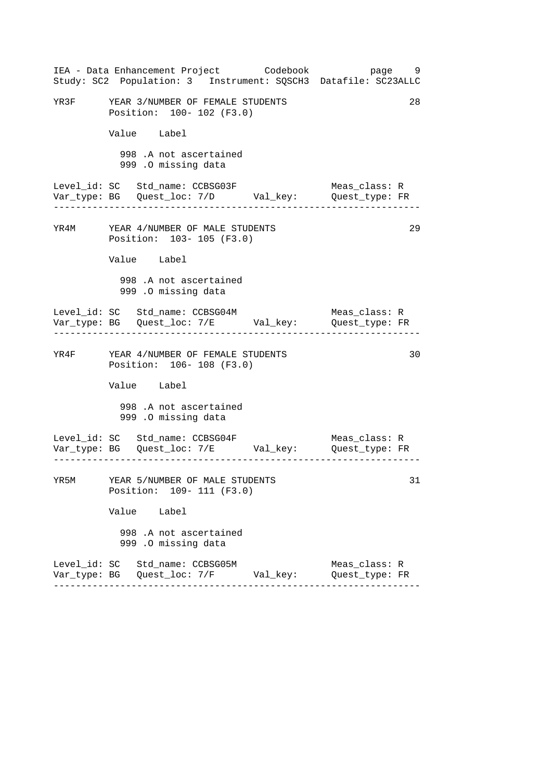|      |                                                                    | IEA - Data Enhancement Project Codebook        | page 9<br>Study: SC2 Population: 3 Instrument: SQSCH3 Datafile: SC23ALLC |    |
|------|--------------------------------------------------------------------|------------------------------------------------|--------------------------------------------------------------------------|----|
| YR3F | YEAR 3/NUMBER OF FEMALE STUDENTS<br>Position: 100- 102 (F3.0)      |                                                |                                                                          | 28 |
|      | Value Label                                                        |                                                |                                                                          |    |
|      | 998 .A not ascertained<br>999 .O missing data                      |                                                |                                                                          |    |
|      | Level_id: SC Std_name: CCBSG03F                                    |                                                | Meas_class: R                                                            |    |
|      | YR4M YEAR 4/NUMBER OF MALE STUDENTS<br>Position: 103- 105 (F3.0)   |                                                |                                                                          | 29 |
|      | Value Label                                                        |                                                |                                                                          |    |
|      | 998 .A not ascertained<br>999 .0 missing data                      |                                                |                                                                          |    |
|      | Level_id: SC Std_name: CCBSG04M                                    |                                                | Meas_class: R                                                            |    |
|      | YR4F YEAR 4/NUMBER OF FEMALE STUDENTS<br>Position: 106- 108 (F3.0) |                                                |                                                                          | 30 |
|      | Value Label                                                        |                                                |                                                                          |    |
|      | 998 .A not ascertained<br>999 .O missing data                      |                                                |                                                                          |    |
|      | Level_id: SC Std_name: CCBSG04F                                    |                                                | Meas_class: R                                                            |    |
| YR5M | YEAR 5/NUMBER OF MALE STUDENTS<br>Position: 109- 111 (F3.0)        |                                                |                                                                          | 31 |
|      | Value Label                                                        |                                                |                                                                          |    |
|      | 998 .A not ascertained<br>999 .O missing data                      |                                                |                                                                          |    |
|      | Level_id: SC Std_name: CCBSG05M                                    | Var_type: BG   Quest_loc: 7/F         Val_key: | Meas_class: R<br>Quest_type: FR                                          |    |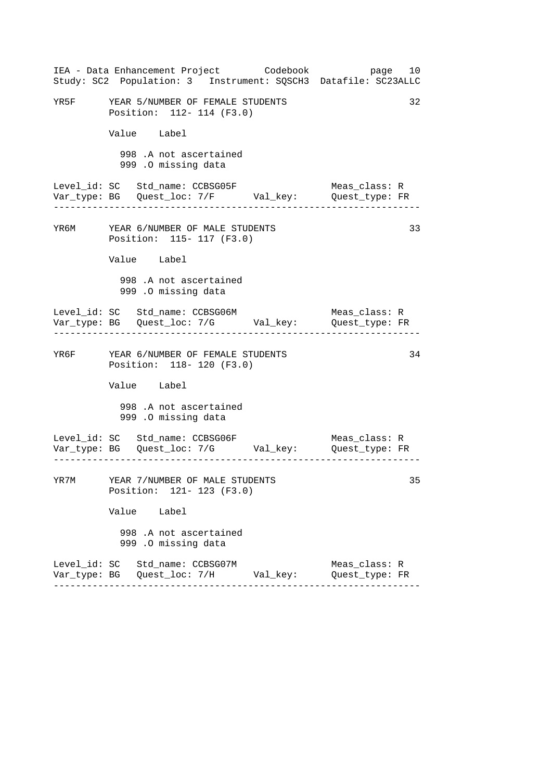|      |                                                                    | IEA - Data Enhancement Project Codebook          | page 10<br>Study: SC2 Population: 3 Instrument: SQSCH3 Datafile: SC23ALLC |    |
|------|--------------------------------------------------------------------|--------------------------------------------------|---------------------------------------------------------------------------|----|
| YR5F | YEAR 5/NUMBER OF FEMALE STUDENTS<br>Position: 112- 114 (F3.0)      |                                                  |                                                                           | 32 |
|      | Value Label                                                        |                                                  |                                                                           |    |
|      | 998 .A not ascertained<br>999 .O missing data                      |                                                  |                                                                           |    |
|      | Level_id: SC Std_name: CCBSG05F                                    |                                                  | Meas_class: R                                                             |    |
|      | YR6M YEAR 6/NUMBER OF MALE STUDENTS<br>Position: 115- 117 (F3.0)   |                                                  |                                                                           | 33 |
|      | Value Label                                                        |                                                  |                                                                           |    |
|      | 998 .A not ascertained<br>999 .O missing data                      |                                                  |                                                                           |    |
|      | Level_id: SC Std_name: CCBSG06M                                    |                                                  | Meas_class: R                                                             |    |
|      | YR6F YEAR 6/NUMBER OF FEMALE STUDENTS<br>Position: 118- 120 (F3.0) |                                                  |                                                                           | 34 |
|      | Value Label                                                        |                                                  |                                                                           |    |
|      | 998 .A not ascertained<br>999 .O missing data                      |                                                  |                                                                           |    |
|      | Level_id: SC Std_name: CCBSG06F                                    |                                                  | Meas_class: R                                                             |    |
| YR7M | YEAR 7/NUMBER OF MALE STUDENTS<br>Position: 121- 123 (F3.0)        |                                                  |                                                                           | 35 |
|      | Value Label                                                        |                                                  |                                                                           |    |
|      | 998 .A not ascertained<br>999 .O missing data                      |                                                  |                                                                           |    |
|      | Level_id: SC Std_name: CCBSG07M                                    | Var_type: BG    Quest_loc: 7/H          Val_key: | Meas_class: R<br>Quest_type: FR                                           |    |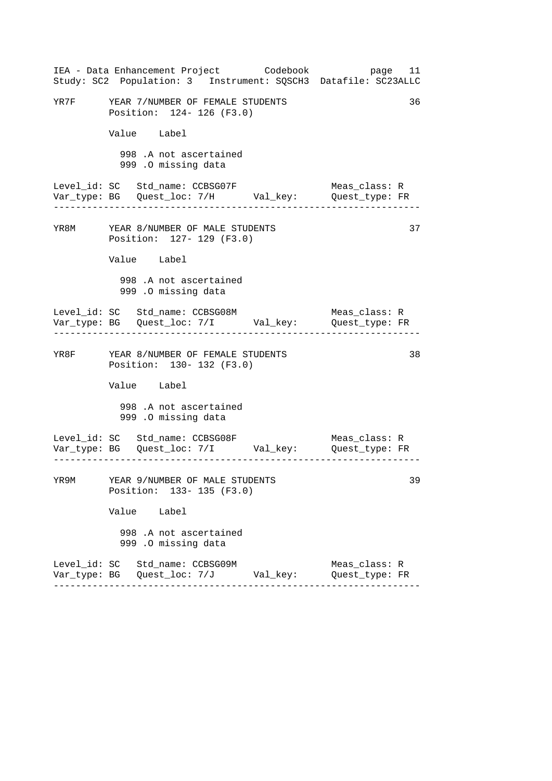|      |                                                                    | IEA - Data Enhancement Project Codebook        | page 11<br>Study: SC2 Population: 3 Instrument: SQSCH3 Datafile: SC23ALLC |    |
|------|--------------------------------------------------------------------|------------------------------------------------|---------------------------------------------------------------------------|----|
|      | YR7F YEAR 7/NUMBER OF FEMALE STUDENTS<br>Position: 124- 126 (F3.0) |                                                |                                                                           | 36 |
|      | Value Label                                                        |                                                |                                                                           |    |
|      | 998 .A not ascertained<br>999 .O missing data                      |                                                |                                                                           |    |
|      | Level_id: SC Std_name: CCBSG07F                                    |                                                | Meas_class: R                                                             |    |
|      | YR8M YEAR 8/NUMBER OF MALE STUDENTS<br>Position: 127- 129 (F3.0)   |                                                |                                                                           | 37 |
|      | Value Label                                                        |                                                |                                                                           |    |
|      | 998 .A not ascertained<br>999 .O missing data                      |                                                |                                                                           |    |
|      | Level_id: SC Std_name: CCBSG08M                                    |                                                | Meas_class: R                                                             |    |
|      | YR8F YEAR 8/NUMBER OF FEMALE STUDENTS<br>Position: 130- 132 (F3.0) |                                                |                                                                           | 38 |
|      | Value Label                                                        |                                                |                                                                           |    |
|      | 998 .A not ascertained<br>999 .O missing data                      |                                                |                                                                           |    |
|      | Level_id: SC Std_name: CCBSG08F                                    |                                                | Meas_class: R<br>Var_type: BG Quest_loc: 7/I Val_key: Quest_type: FR      |    |
| YR9M | YEAR 9/NUMBER OF MALE STUDENTS<br>Position: 133- 135 (F3.0)        |                                                |                                                                           | 39 |
|      | Value Label                                                        |                                                |                                                                           |    |
|      | 998 .A not ascertained<br>999 .O missing data                      |                                                |                                                                           |    |
|      | Level_id: SC Std_name: CCBSG09M                                    | Var_type: BG   Quest_loc: 7/J         Val_key: | Meas_class: R<br>Quest_type: FR                                           |    |
|      |                                                                    |                                                |                                                                           |    |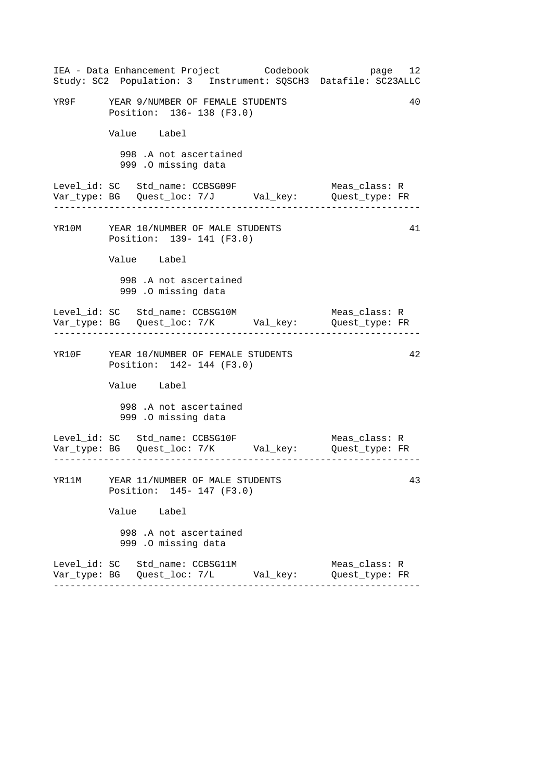|  |                                                                      | IEA - Data Enhancement Project Codebook          | Study: SC2 Population: 3 Instrument: SQSCH3 Datafile: SC23ALLC                         | page 12 |
|--|----------------------------------------------------------------------|--------------------------------------------------|----------------------------------------------------------------------------------------|---------|
|  | YR9F YEAR 9/NUMBER OF FEMALE STUDENTS<br>Position: 136-138 (F3.0)    |                                                  |                                                                                        | 40      |
|  | Value Label                                                          |                                                  |                                                                                        |         |
|  | 998 .A not ascertained<br>999 .O missing data                        |                                                  |                                                                                        |         |
|  | Level_id: SC Std_name: CCBSG09F<br>. List List List List List        |                                                  | Meas_class: R                                                                          |         |
|  | YR10M YEAR 10/NUMBER OF MALE STUDENTS<br>Position: 139- 141 (F3.0)   |                                                  |                                                                                        | 41      |
|  | Value Label                                                          |                                                  |                                                                                        |         |
|  | 998 .A not ascertained<br>999 .O missing data                        |                                                  |                                                                                        |         |
|  | ------------------------------------                                 |                                                  | Meas_class: R                                                                          |         |
|  | YR10F YEAR 10/NUMBER OF FEMALE STUDENTS<br>Position: 142- 144 (F3.0) |                                                  |                                                                                        | 42      |
|  | Value Label                                                          |                                                  |                                                                                        |         |
|  | 998 .A not ascertained<br>999 .O missing data                        |                                                  |                                                                                        |         |
|  | Level_id: SC Std_name: CCBSG10F                                      |                                                  | Meas_class: R<br>Var_type: BG    Quest_loc: 7/K         Val_key:        Quest_type: FR |         |
|  | YR11M YEAR 11/NUMBER OF MALE STUDENTS<br>Position: 145- 147 (F3.0)   |                                                  |                                                                                        | 43      |
|  | Value Label                                                          |                                                  |                                                                                        |         |
|  | 998 .A not ascertained<br>999 .O missing data                        |                                                  |                                                                                        |         |
|  | Level_id: SC   Std_name: CCBSG11M                                    | Var_type: BG    Quest_loc: 7/L          Val_key: | Meas_class: R<br>Quest_type: FR                                                        |         |
|  |                                                                      |                                                  |                                                                                        |         |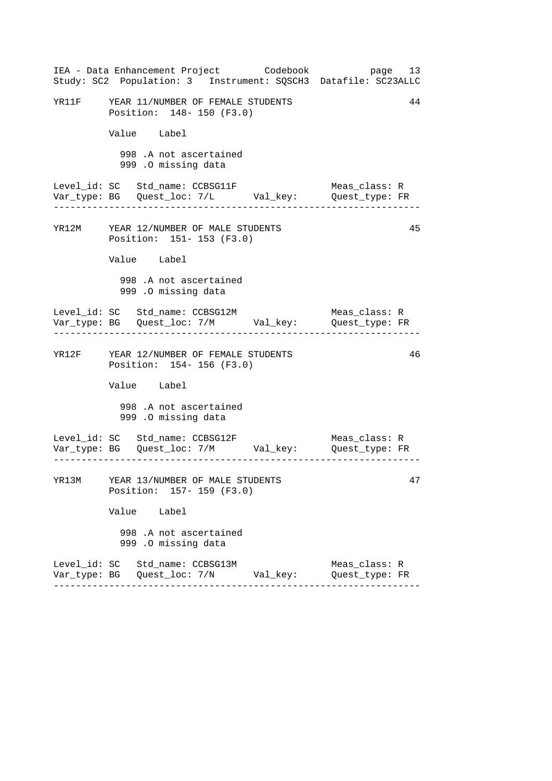|  |                                                                      | IEA - Data Enhancement Project Codebook | Study: SC2 Population: 3 Instrument: SQSCH3 Datafile: SC23ALLC | page 13 |
|--|----------------------------------------------------------------------|-----------------------------------------|----------------------------------------------------------------|---------|
|  | YR11F YEAR 11/NUMBER OF FEMALE STUDENTS<br>Position: 148- 150 (F3.0) |                                         |                                                                | 44      |
|  | Value Label                                                          |                                         |                                                                |         |
|  | 998 .A not ascertained<br>999 .O missing data                        |                                         |                                                                |         |
|  | Level_id: SC Std_name: CCBSG11F                                      |                                         | Meas_class: R                                                  |         |
|  | YR12M YEAR 12/NUMBER OF MALE STUDENTS<br>Position: 151- 153 (F3.0)   |                                         |                                                                | 45      |
|  | Value Label                                                          |                                         |                                                                |         |
|  | 998 .A not ascertained<br>999 .O missing data                        |                                         |                                                                |         |
|  |                                                                      |                                         | Meas_class: R                                                  |         |
|  | YR12F YEAR 12/NUMBER OF FEMALE STUDENTS<br>Position: 154- 156 (F3.0) |                                         |                                                                | 46      |
|  | Value Label                                                          |                                         |                                                                |         |
|  | 998 .A not ascertained<br>999 .O missing data                        |                                         |                                                                |         |
|  |                                                                      |                                         |                                                                |         |
|  | YR13M YEAR 13/NUMBER OF MALE STUDENTS<br>Position: 157- 159 (F3.0)   |                                         |                                                                | 47      |
|  | Value Label                                                          |                                         |                                                                |         |
|  | 998 .A not ascertained<br>999 .O missing data                        |                                         |                                                                |         |
|  | Level_id: SC Std_name: CCBSG13M                                      |                                         | Meas_class: R<br>Quest_type: FR                                |         |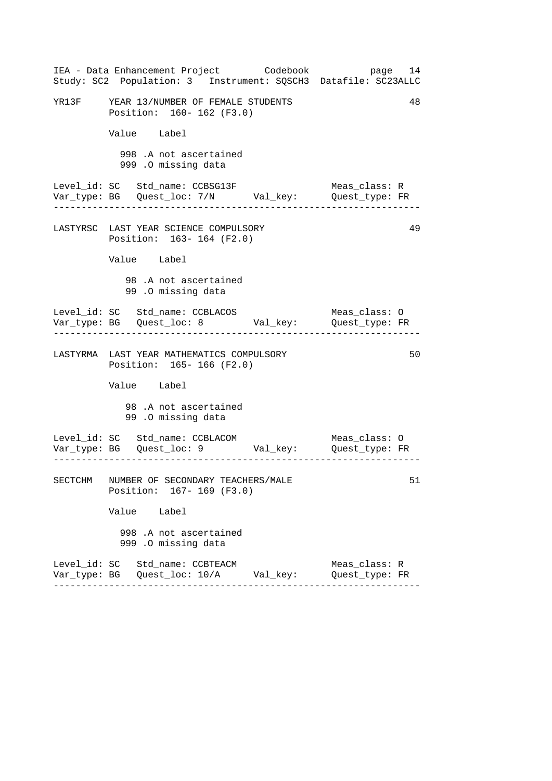| IEA - Data Enhancement Project Codebook<br>Study: SC2 Population: 3 Instrument: SQSCH3 Datafile: SC23ALLC                                              | page 14                         |
|--------------------------------------------------------------------------------------------------------------------------------------------------------|---------------------------------|
| YR13F YEAR 13/NUMBER OF FEMALE STUDENTS<br>Position: 160- 162 (F3.0)                                                                                   | 48                              |
| Value Label                                                                                                                                            |                                 |
| 998 .A not ascertained<br>999 .O missing data                                                                                                          |                                 |
| Level_id: SC Std_name: CCBSG13F<br>Var_type: BG    Quest_loc: 7/N    Val_key:    Quest_type: FR                                                        | Meas_class: R                   |
| LASTYRSC LAST YEAR SCIENCE COMPULSORY<br>Position: 163-164 (F2.0)                                                                                      | 49                              |
| Value Label                                                                                                                                            |                                 |
| 98.A not ascertained<br>99.0 missing data                                                                                                              |                                 |
|                                                                                                                                                        | Meas_class: O                   |
| LASTYRMA LAST YEAR MATHEMATICS COMPULSORY<br>Position: 165- 166 (F2.0)                                                                                 | 50                              |
| Value Label                                                                                                                                            |                                 |
| 98.A not ascertained<br>99.0 missing data                                                                                                              |                                 |
| Level_id: SC   Std_name: CCBLACOM                           Meas_class: O<br>Var_type: BG     Quest_loc: 9             Val_key:         Quest_type: FR |                                 |
| SECTCHM NUMBER OF SECONDARY TEACHERS/MALE<br>Position: 167- 169 (F3.0)                                                                                 | 51                              |
| Value Label                                                                                                                                            |                                 |
| 998 .A not ascertained<br>999 .O missing data                                                                                                          |                                 |
| Level_id: SC Std_name: CCBTEACM                                                                                                                        | Meas_class: R<br>Quest_type: FR |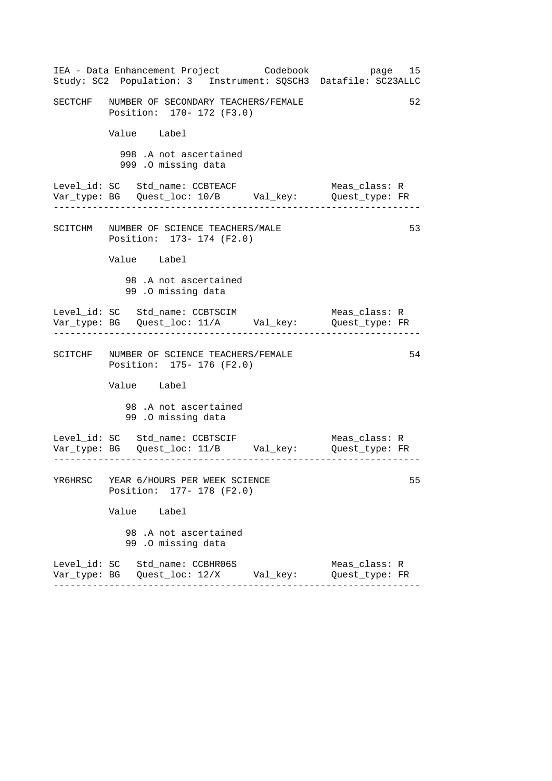| IEA - Data Enhancement Project Codebook bage 15<br>Study: SC2 Population: 3 Instrument: SQSCH3 Datafile: SC23ALLC |                                 |    |
|-------------------------------------------------------------------------------------------------------------------|---------------------------------|----|
| SECTCHF NUMBER OF SECONDARY TEACHERS/FEMALE<br>Position: 170- 172 (F3.0)                                          |                                 | 52 |
| Value Label                                                                                                       |                                 |    |
| 998 .A not ascertained<br>999 .0 missing data                                                                     |                                 |    |
| Level_id: SC Std_name: CCBTEACF<br>Var_type: BG    Quest_loc: 10/B    Val_key:    Quest_type: FR                  | Meas_class: R                   |    |
| SCITCHM NUMBER OF SCIENCE TEACHERS/MALE<br>Position: 173- 174 (F2.0)                                              |                                 | 53 |
| Value Label                                                                                                       |                                 |    |
| 98.A not ascertained<br>99.0 missing data                                                                         |                                 |    |
| Level_id: SC Std_name: CCBTSCIM<br>Var_type: BG    Quest_loc: 11/A    Val_key:    Quest_type: FR                  | Meas_class: R                   |    |
| SCITCHF NUMBER OF SCIENCE TEACHERS/FEMALE<br>Position: 175- 176 (F2.0)                                            |                                 | 54 |
| Value Label                                                                                                       |                                 |    |
| 98.A not ascertained<br>99.0 missing data                                                                         |                                 |    |
|                                                                                                                   |                                 |    |
| YR6HRSC YEAR 6/HOURS PER WEEK SCIENCE<br>Position: 177- 178 (F2.0)                                                |                                 | 55 |
| Value Label                                                                                                       |                                 |    |
| 98 .A not ascertained<br>99.0 missing data                                                                        |                                 |    |
| Level_id: SC Std_name: CCBHR06S                                                                                   | Meas_class: R<br>Quest_type: FR |    |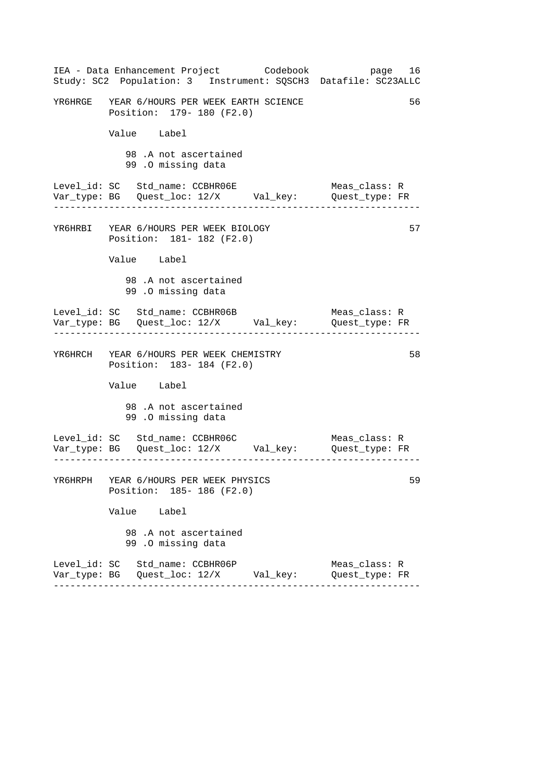| IEA - Data Enhancement Project Codebook<br>Study: SC2 Population: 3 Instrument: SQSCH3 Datafile: SC23ALLC | page 16                         |
|-----------------------------------------------------------------------------------------------------------|---------------------------------|
| YR6HRGE YEAR 6/HOURS PER WEEK EARTH SCIENCE<br>Position: 179- 180 (F2.0)                                  | 56                              |
| Value Label                                                                                               |                                 |
| 98.A not ascertained<br>99.0 missing data                                                                 |                                 |
| Level_id: SC Std_name: CCBHR06E                                                                           | Meas_class: R<br>Quest_type: FR |
| YR6HRBI YEAR 6/HOURS PER WEEK BIOLOGY<br>Position: 181- 182 (F2.0)                                        | 57                              |
| Value Label                                                                                               |                                 |
| 98.A not ascertained<br>99.0 missing data                                                                 |                                 |
| Level_id: SC Std_name: CCBHR06B<br>Var_type: BG    Quest_loc: 12/X    Val_key:    Quest_type: FR          | Meas_class: R                   |
| YR6HRCH YEAR 6/HOURS PER WEEK CHEMISTRY<br>Position: 183-184 (F2.0)                                       | 58                              |
| Value Label                                                                                               |                                 |
| 98.A not ascertained<br>99.0 missing data                                                                 |                                 |
| Level_id: SC Std_name: CCBHR06C<br>Var_type: BG Quest_loc: 12/X Val_key: Quest_type: FR                   | Meas_class: R                   |
| YR6HRPH YEAR 6/HOURS PER WEEK PHYSICS<br>Position: 185-186 (F2.0)                                         | 59                              |
| Value Label                                                                                               |                                 |
| 98.A not ascertained<br>99.0 missing data                                                                 |                                 |
| Level_id: SC Std_name: CCBHR06P                                                                           | Meas_class: R<br>Quest_type: FR |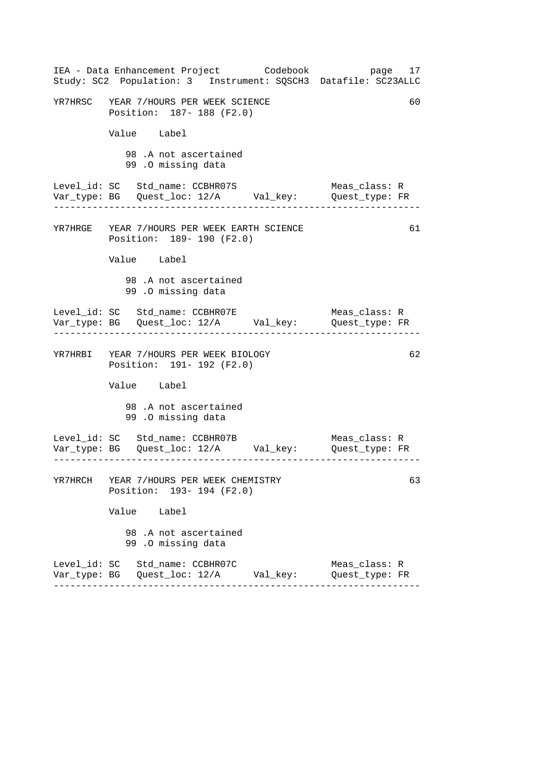| IEA - Data Enhancement Project Codebook<br>Study: SC2 Population: 3 Instrument: SQSCH3 Datafile: SC23ALLC | page 17                         |
|-----------------------------------------------------------------------------------------------------------|---------------------------------|
| YR7HRSC YEAR 7/HOURS PER WEEK SCIENCE<br>Position: 187- 188 (F2.0)                                        | 60                              |
| Value Label                                                                                               |                                 |
| 98 .A not ascertained<br>99.0 missing data                                                                |                                 |
| Level_id: SC Std_name: CCBHR07S<br>Var_type: BG    Quest_loc: 12/A    Val_key:    Quest_type: FR          | Meas class: R                   |
| YR7HRGE YEAR 7/HOURS PER WEEK EARTH SCIENCE<br>Position: 189- 190 (F2.0)                                  | 61                              |
| Value Label                                                                                               |                                 |
| 98.A not ascertained<br>99.0 missing data                                                                 |                                 |
| Level_id: SC Std_name: CCBHR07E<br>Var_type: BG    Quest_loc: 12/A    Val_key:    Quest_type: FR          | Meas_class: R                   |
| YR7HRBI YEAR 7/HOURS PER WEEK BIOLOGY<br>Position: 191- 192 (F2.0)                                        | 62                              |
| Value Label                                                                                               |                                 |
| 98.A not ascertained<br>99.0 missing data                                                                 |                                 |
| Level_id: SC Std_name: CCBHR07B<br>Var_type: BG    Quest_loc: 12/A    Val_key:    Quest_type: FR          | Meas_class: R                   |
| YR7HRCH YEAR 7/HOURS PER WEEK CHEMISTRY<br>Position: 193- 194 (F2.0)                                      | 63                              |
| Value Label                                                                                               |                                 |
| 98.A not ascertained<br>99.0 missing data                                                                 |                                 |
| Level_id: SC Std_name: CCBHR07C<br>Var_type: BG   Quest_loc: 12/A        Val_key:                         | Meas_class: R<br>Quest_type: FR |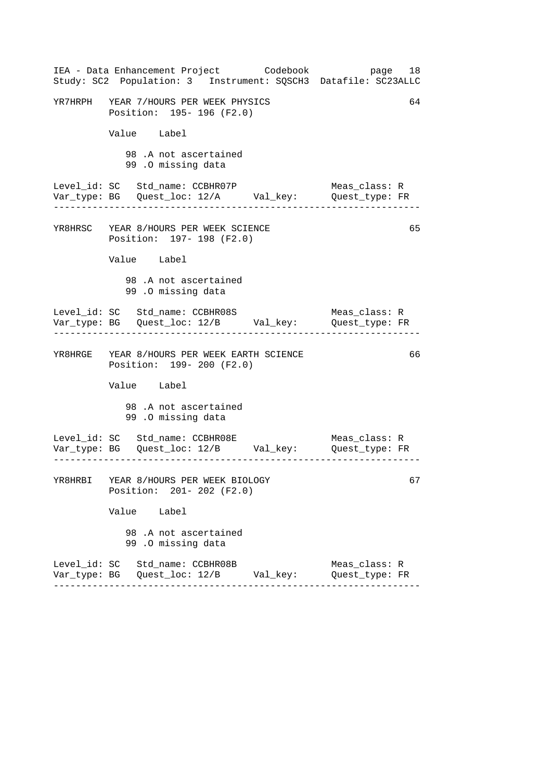| IEA - Data Enhancement Project Codebook<br>Study: SC2 Population: 3 Instrument: SQSCH3 Datafile: SC23ALLC | page 18                         |
|-----------------------------------------------------------------------------------------------------------|---------------------------------|
| YR7HRPH YEAR 7/HOURS PER WEEK PHYSICS<br>Position: 195- 196 (F2.0)                                        | 64                              |
| Value Label                                                                                               |                                 |
| 98.A not ascertained<br>99.0 missing data                                                                 |                                 |
| Level_id: SC Std_name: CCBHR07P<br>Var_type: BG    Quest_loc: 12/A    Val_key:    Quest_type: FR          | Meas_class: R                   |
| YR8HRSC YEAR 8/HOURS PER WEEK SCIENCE<br>Position: 197- 198 (F2.0)                                        | 65                              |
| Value Label                                                                                               |                                 |
| 98.A not ascertained<br>99.0 missing data                                                                 |                                 |
| Var_type: BG    Quest_loc: 12/B    Val_key:    Quest_type: FR                                             | Meas_class: R                   |
| YR8HRGE YEAR 8/HOURS PER WEEK EARTH SCIENCE<br>Position: 199- 200 (F2.0)                                  | 66                              |
| Value Label                                                                                               |                                 |
| 98.A not ascertained<br>99.0 missing data                                                                 |                                 |
| Level_id: SC Std_name: CCBHR08E<br>Var_type: BG    Quest_loc: 12/B    Val_key:    Quest_type: FR          | Meas_class: R                   |
| YR8HRBI YEAR 8/HOURS PER WEEK BIOLOGY<br>Position: 201- 202 (F2.0)                                        | 67                              |
| Value Label                                                                                               |                                 |
| 98.A not ascertained<br>99.0 missing data                                                                 |                                 |
| Level_id: SC Std_name: CCBHR08B                                                                           | Meas_class: R<br>Quest_type: FR |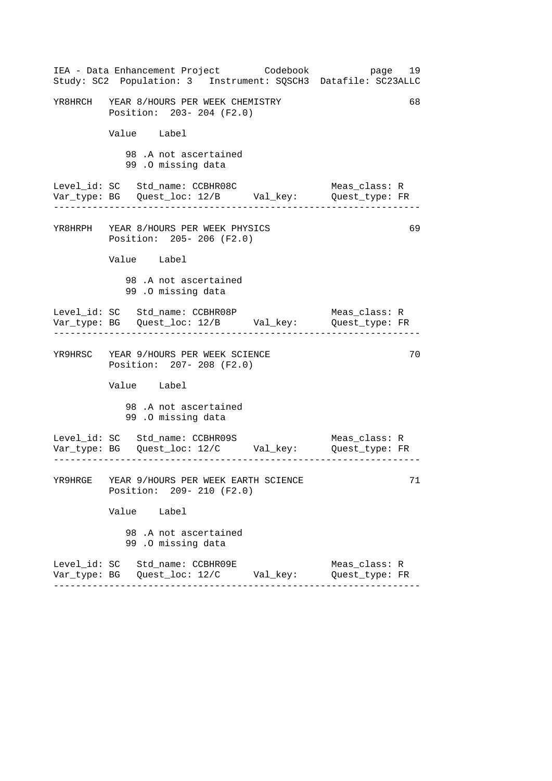| IEA - Data Enhancement Project Codebook<br>Study: SC2 Population: 3 Instrument: SQSCH3 Datafile: SC23ALLC                                                         | page 19                         |
|-------------------------------------------------------------------------------------------------------------------------------------------------------------------|---------------------------------|
| YR8HRCH YEAR 8/HOURS PER WEEK CHEMISTRY<br>Position: 203- 204 (F2.0)                                                                                              | 68                              |
| Value Label                                                                                                                                                       |                                 |
| 98.A not ascertained<br>99 .0 missing data                                                                                                                        |                                 |
| Level_id: SC Std_name: CCBHR08C                                                                                                                                   | Meas_class: R                   |
| YR8HRPH YEAR 8/HOURS PER WEEK PHYSICS<br>Position: 205-206 (F2.0)                                                                                                 | 69                              |
| Value Label                                                                                                                                                       |                                 |
| 98.A not ascertained<br>99.0 missing data                                                                                                                         |                                 |
| Level_id: SC Std_name: CCBHR08P                                                                                                                                   | Meas_class: R                   |
| YR9HRSC YEAR 9/HOURS PER WEEK SCIENCE<br>Position: 207- 208 (F2.0)                                                                                                | 70                              |
| Value Label                                                                                                                                                       |                                 |
| 98.A not ascertained<br>99.0 missing data                                                                                                                         |                                 |
| Level_id: SC     Std_name: CCBHR09S                                     Meas_class: R<br>Var_type: BG     Quest_loc: 12/C         Val_key:         Quest_type: FR |                                 |
| YR9HRGE YEAR 9/HOURS PER WEEK EARTH SCIENCE<br>Position: 209- 210 (F2.0)                                                                                          | 71                              |
| Value Label                                                                                                                                                       |                                 |
| 98.A not ascertained<br>99.0 missing data                                                                                                                         |                                 |
| Level_id: SC Std_name: CCBHR09E                                                                                                                                   | Meas_class: R<br>Quest type: FR |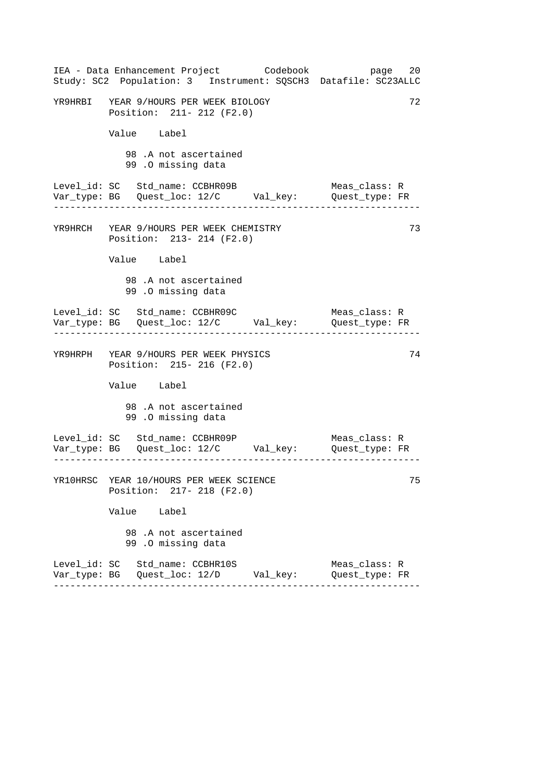|  |                                                                      | IEA - Data Enhancement Project Codebook        | Study: SC2 Population: 3 Instrument: SQSCH3 Datafile: SC23ALLC | page 20 |
|--|----------------------------------------------------------------------|------------------------------------------------|----------------------------------------------------------------|---------|
|  | YR9HRBI YEAR 9/HOURS PER WEEK BIOLOGY<br>Position: 211- 212 (F2.0)   |                                                |                                                                | 72      |
|  | Value Label                                                          |                                                |                                                                |         |
|  | 98.A not ascertained<br>99.0 missing data                            |                                                |                                                                |         |
|  | Level_id: SC Std_name: CCBHR09B                                      |                                                | Meas_class: R                                                  |         |
|  | YR9HRCH YEAR 9/HOURS PER WEEK CHEMISTRY<br>Position: 213- 214 (F2.0) |                                                |                                                                | 73      |
|  | Value Label                                                          |                                                |                                                                |         |
|  | 98.A not ascertained<br>99 .0 missing data                           |                                                |                                                                |         |
|  | Level_id: SC Std_name: CCBHR09C                                      |                                                | Meas_class: R                                                  |         |
|  | YR9HRPH YEAR 9/HOURS PER WEEK PHYSICS<br>Position: 215- 216 (F2.0)   |                                                |                                                                | 74      |
|  | Value Label                                                          |                                                |                                                                |         |
|  | 98.A not ascertained<br>99.0 missing data                            |                                                |                                                                |         |
|  | Level_id: SC Std_name: CCBHR09P                                      |                                                | Meas_class: R                                                  |         |
|  | YR10HRSC YEAR 10/HOURS PER WEEK SCIENCE<br>Position: 217- 218 (F2.0) |                                                |                                                                | 75      |
|  | Value Label                                                          |                                                |                                                                |         |
|  | 98.A not ascertained<br>99.0 missing data                            |                                                |                                                                |         |
|  | Level_id: SC Std_name: CCBHR10S                                      | Var_type: BG   Quest_loc: 12/D        Val_key: | Meas_class: R<br>Quest_type: FR                                |         |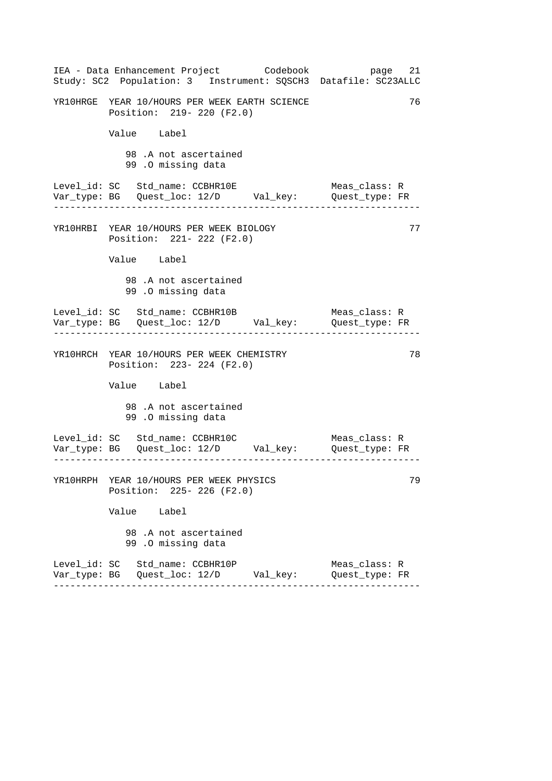| IEA - Data Enhancement Project Codebook<br>Study: SC2 Population: 3 Instrument: SQSCH3 Datafile: SC23ALLC | page 21                         |
|-----------------------------------------------------------------------------------------------------------|---------------------------------|
| YR10HRGE YEAR 10/HOURS PER WEEK EARTH SCIENCE<br>Position: 219- 220 (F2.0)                                | 76                              |
| Value Label                                                                                               |                                 |
| 98.A not ascertained<br>99.0 missing data                                                                 |                                 |
| Level_id: SC Std_name: CCBHR10E<br>Var_type: BG    Quest_loc: 12/D    Val_key:    Quest_type: FR          | Meas_class: R                   |
| YR10HRBI YEAR 10/HOURS PER WEEK BIOLOGY<br>Position: 221- 222 (F2.0)                                      | 77                              |
| Value Label                                                                                               |                                 |
| 98.A not ascertained<br>99.0 missing data                                                                 |                                 |
| Level_id: SC Std_name: CCBHR10B<br>Var_type: BG    Quest_loc: 12/D    Val_key:    Quest_type: FR          | Meas_class: R                   |
| YR10HRCH YEAR 10/HOURS PER WEEK CHEMISTRY<br>Position: 223- 224 (F2.0)                                    | 78                              |
| Value Label                                                                                               |                                 |
| 98.A not ascertained<br>99.0 missing data                                                                 |                                 |
|                                                                                                           |                                 |
| YR10HRPH YEAR 10/HOURS PER WEEK PHYSICS<br>Position: 225- 226 (F2.0)                                      | 79                              |
| Value Label                                                                                               |                                 |
| 98.A not ascertained<br>99.0 missing data                                                                 |                                 |
| Level_id: SC Std_name: CCBHR10P                                                                           | Meas_class: R<br>Quest_type: FR |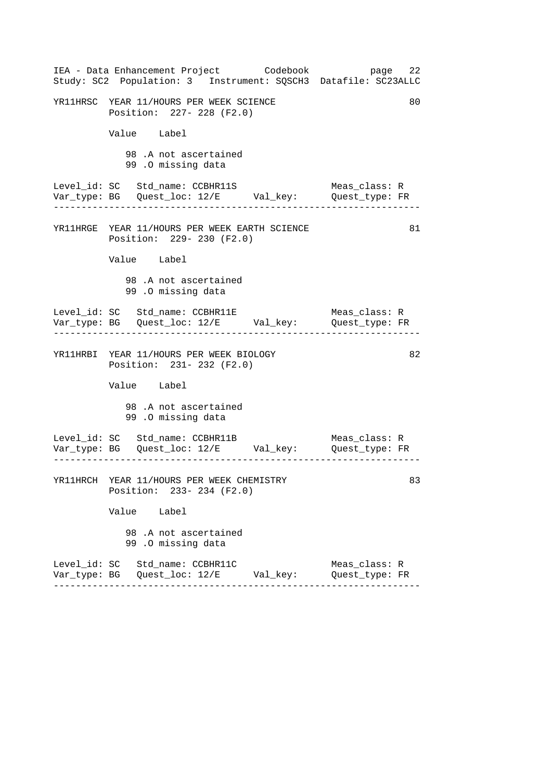|  |                                                                        | IEA - Data Enhancement Project Codebook       | Study: SC2 Population: 3 Instrument: SQSCH3 Datafile: SC23ALLC | page 22 |
|--|------------------------------------------------------------------------|-----------------------------------------------|----------------------------------------------------------------|---------|
|  | YR11HRSC YEAR 11/HOURS PER WEEK SCIENCE<br>Position: 227- 228 (F2.0)   |                                               |                                                                | 80      |
|  | Value Label                                                            |                                               |                                                                |         |
|  | 98.A not ascertained<br>99.0 missing data                              |                                               |                                                                |         |
|  |                                                                        |                                               | Meas_class: R                                                  |         |
|  | Position: 229- 230 (F2.0)                                              | YR11HRGE YEAR 11/HOURS PER WEEK EARTH SCIENCE |                                                                | 81      |
|  | Value Label                                                            |                                               |                                                                |         |
|  | 98.A not ascertained<br>99.0 missing data                              |                                               |                                                                |         |
|  | Level_id: SC Std_name: CCBHR11E                                        |                                               | Meas_class: R                                                  |         |
|  | YR11HRBI YEAR 11/HOURS PER WEEK BIOLOGY<br>Position: 231- 232 (F2.0)   |                                               |                                                                | 82      |
|  | Value Label                                                            |                                               |                                                                |         |
|  | 98.A not ascertained<br>99.0 missing data                              |                                               |                                                                |         |
|  | Level_id: SC Std_name: CCBHR11B                                        |                                               | Meas_class: R                                                  |         |
|  | YR11HRCH YEAR 11/HOURS PER WEEK CHEMISTRY<br>Position: 233- 234 (F2.0) |                                               |                                                                | 83      |
|  | Value Label                                                            |                                               |                                                                |         |
|  | 98.A not ascertained<br>99.0 missing data                              |                                               |                                                                |         |
|  | Level_id: SC Std_name: CCBHR11C                                        | Var_type: BG   Quest_loc: 12/E       Val_key: | Meas_class: R<br>Quest_type: FR                                |         |
|  |                                                                        |                                               |                                                                |         |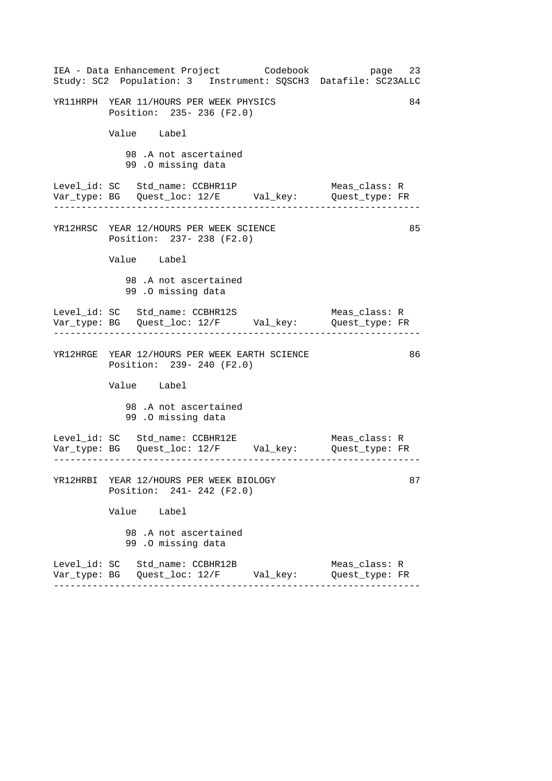| IEA - Data Enhancement Project Codebook<br>Study: SC2 Population: 3 Instrument: SQSCH3 Datafile: SC23ALLC | page 23                                            |
|-----------------------------------------------------------------------------------------------------------|----------------------------------------------------|
| YR11HRPH YEAR 11/HOURS PER WEEK PHYSICS<br>Position: 235- 236 (F2.0)                                      | 84                                                 |
| Value Label                                                                                               |                                                    |
| 98.A not ascertained<br>99.0 missing data                                                                 |                                                    |
| Level_id: SC Std_name: CCBHR11P<br>Var_type: BG    Quest_loc: 12/E    Val_key:    Quest_type: FR          | Meas_class: R                                      |
| YR12HRSC YEAR 12/HOURS PER WEEK SCIENCE<br>Position: 237- 238 (F2.0)                                      | 85                                                 |
| Value Label                                                                                               |                                                    |
| 98.A not ascertained<br>99.0 missing data                                                                 |                                                    |
| Var_type: BG    Quest_loc: 12/F    Val_key:    Quest_type: FR                                             | Meas_class: R<br>. _ _ _ _ _ _ _ _ _ _ _ _ _ _ _ _ |
| YR12HRGE YEAR 12/HOURS PER WEEK EARTH SCIENCE<br>Position: 239- 240 (F2.0)                                | 86                                                 |
| Value Label                                                                                               |                                                    |
| 98.A not ascertained<br>99.0 missing data                                                                 |                                                    |
| Level_id: SC Std_name: CCBHR12E<br>Var_type: BG    Quest_loc: 12/F    Val_key:    Quest_type: FR          | Meas_class: R                                      |
| YR12HRBI YEAR 12/HOURS PER WEEK BIOLOGY<br>Position: 241- 242 (F2.0)                                      | 87                                                 |
| Value Label                                                                                               |                                                    |
| 98.A not ascertained<br>99.0 missing data                                                                 |                                                    |
| Level_id: SC Std_name: CCBHR12B                                                                           | Meas_class: R<br>Quest_type: FR                    |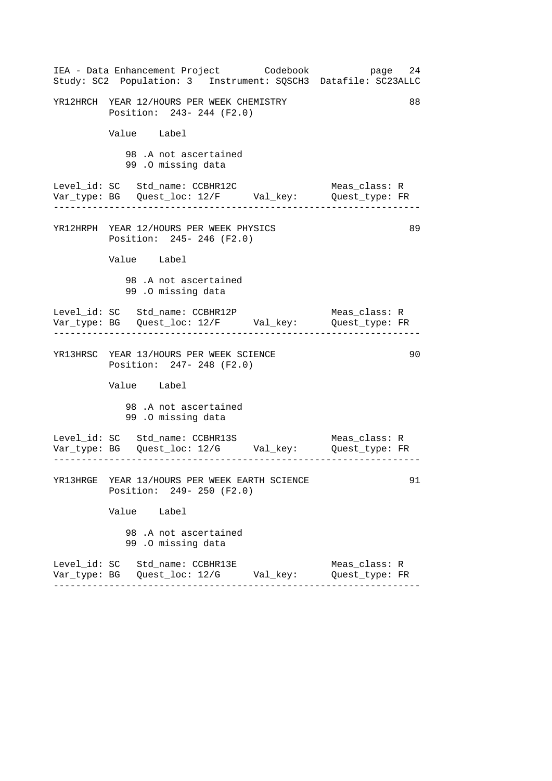| IEA - Data Enhancement Project Codebook<br>Study: SC2 Population: 3 Instrument: SQSCH3 Datafile: SC23ALLC | page 24                         |
|-----------------------------------------------------------------------------------------------------------|---------------------------------|
| YR12HRCH YEAR 12/HOURS PER WEEK CHEMISTRY<br>Position: 243- 244 (F2.0)                                    | 88                              |
| Value Label                                                                                               |                                 |
| 98.A not ascertained<br>99.0 missing data                                                                 |                                 |
| Level_id: SC Std_name: CCBHR12C<br>Var_type: BG    Quest_loc: 12/F    Val_key:    Quest_type: FR          | Meas_class: R                   |
| YR12HRPH YEAR 12/HOURS PER WEEK PHYSICS<br>Position: 245- 246 (F2.0)                                      | 89                              |
| Value Label                                                                                               |                                 |
| 98.A not ascertained<br>99.0 missing data                                                                 |                                 |
| Level_id: SC Std_name: CCBHR12P<br>Var_type: BG    Quest_loc: 12/F    Val_key:    Quest_type: FR          | Meas_class: R                   |
| YR13HRSC YEAR 13/HOURS PER WEEK SCIENCE<br>Position: 247- 248 (F2.0)                                      | 90                              |
| Value Label                                                                                               |                                 |
| 98.A not ascertained<br>99.0 missing data                                                                 |                                 |
| Level_id: SC Std_name: CCBHR13S Meas_class: R<br>Var_type: BG Quest_loc: 12/G Val_key: Quest_type: FR     |                                 |
| YR13HRGE YEAR 13/HOURS PER WEEK EARTH SCIENCE<br>Position: 249- 250 (F2.0)                                | 91                              |
| Value Label                                                                                               |                                 |
| 98.A not ascertained<br>99.0 missing data                                                                 |                                 |
| Level_id: SC Std_name: CCBHR13E                                                                           | Meas_class: R<br>Quest type: FR |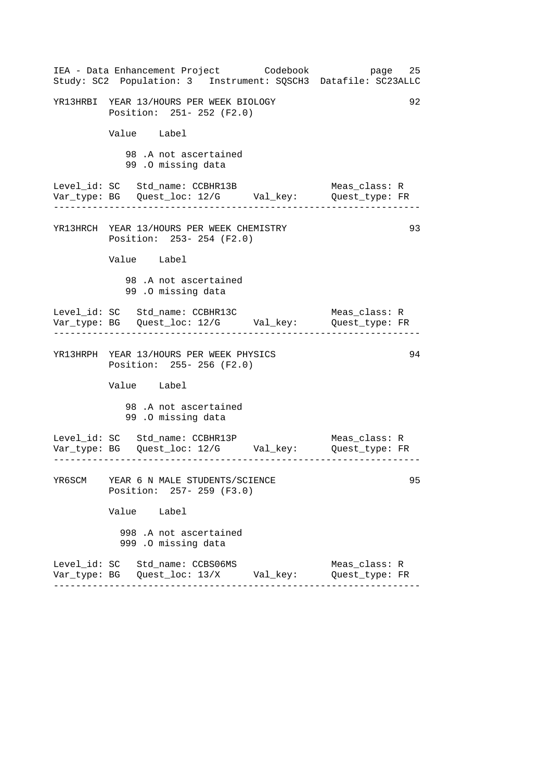| IEA - Data Enhancement Project Codebook<br>Study: SC2 Population: 3 Instrument: SQSCH3 Datafile: SC23ALLC               | 25<br>page                           |
|-------------------------------------------------------------------------------------------------------------------------|--------------------------------------|
| YR13HRBI YEAR 13/HOURS PER WEEK BIOLOGY<br>Position: 251- 252 (F2.0)                                                    | 92                                   |
| Value Label                                                                                                             |                                      |
| 98 .A not ascertained<br>99 .0 missing data                                                                             |                                      |
| Level_id: SC Std_name: CCBHR13B                                                                                         | Meas_class: R                        |
| YR13HRCH YEAR 13/HOURS PER WEEK CHEMISTRY<br>Position: 253- 254 (F2.0)                                                  | 93                                   |
| Value Label                                                                                                             |                                      |
| 98.A not ascertained<br>99 .0 missing data                                                                              |                                      |
|                                                                                                                         | Meas_class: R<br>------------------- |
| YR13HRPH YEAR 13/HOURS PER WEEK PHYSICS<br>Position: 255- 256 (F2.0)                                                    | 94                                   |
| Value Label                                                                                                             |                                      |
| 98.A not ascertained<br>99 .0 missing data                                                                              |                                      |
| Level_id: SC Std_name: CCBHR13P<br>__ __ __ __<br>Var_type: BG    Quest_loc: 12/G        Val_key:        Quest_type: FR | Meas_class: R                        |
| YR6SCM YEAR 6 N MALE STUDENTS/SCIENCE<br>Position: 257- 259 (F3.0)                                                      | 95                                   |
| Value Label                                                                                                             |                                      |
| 998 .A not ascertained<br>999 .O missing data                                                                           |                                      |
| Level_id: SC Std_name: CCBS06MS<br>Var_type: BG    Quest_loc: 13/X        Val_key:                                      | Meas_class: R<br>Quest type: FR      |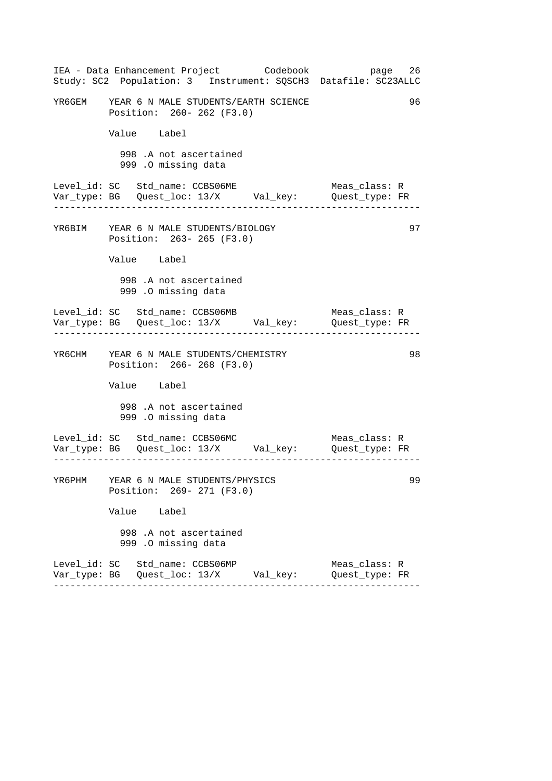|        | IEA - Data Enhancement Project Codebook<br>Study: SC2 Population: 3 Instrument: SQSCH3 Datafile: SC23ALLC | page 26                         |
|--------|-----------------------------------------------------------------------------------------------------------|---------------------------------|
|        | YR6GEM YEAR 6 N MALE STUDENTS/EARTH SCIENCE<br>Position: 260- 262 (F3.0)                                  | 96                              |
|        | Value Label                                                                                               |                                 |
|        | 998 .A not ascertained<br>999 .O missing data                                                             |                                 |
|        | Level_id: SC Std_name: CCBS06ME<br>Var_type: BG    Quest_loc: 13/X    Val_key:    Quest_type: FR          | Meas_class: R                   |
|        | YR6BIM YEAR 6 N MALE STUDENTS/BIOLOGY<br>Position: 263- 265 (F3.0)                                        | 97                              |
|        | Value Label                                                                                               |                                 |
|        | 998 .A not ascertained<br>999 .O missing data                                                             |                                 |
|        | Level_id: SC Std_name: CCBS06MB<br>Var_type: BG    Quest_loc: 13/X    Val_key:    Quest_type: FR          | Meas_class: R                   |
|        | YR6CHM YEAR 6 N MALE STUDENTS/CHEMISTRY<br>Position: 266-268 (F3.0)                                       | 98                              |
|        | Value Label                                                                                               |                                 |
|        | 998 .A not ascertained<br>999 .O missing data                                                             |                                 |
|        | Level_id: SC Std_name: CCBS06MC<br>Var_type: BG    Quest_loc: 13/X    Val_key:    Quest_type: FR          | Meas_class: R                   |
| YR6PHM | YEAR 6 N MALE STUDENTS/PHYSICS<br>Position: 269- 271 (F3.0)                                               | 99                              |
|        | Value Label                                                                                               |                                 |
|        | 998 .A not ascertained<br>999 .O missing data                                                             |                                 |
|        | Level_id: SC Std_name: CCBS06MP<br>Var_type: BG   Quest_loc: 13/X      Val_key:                           | Meas_class: R<br>Quest_type: FR |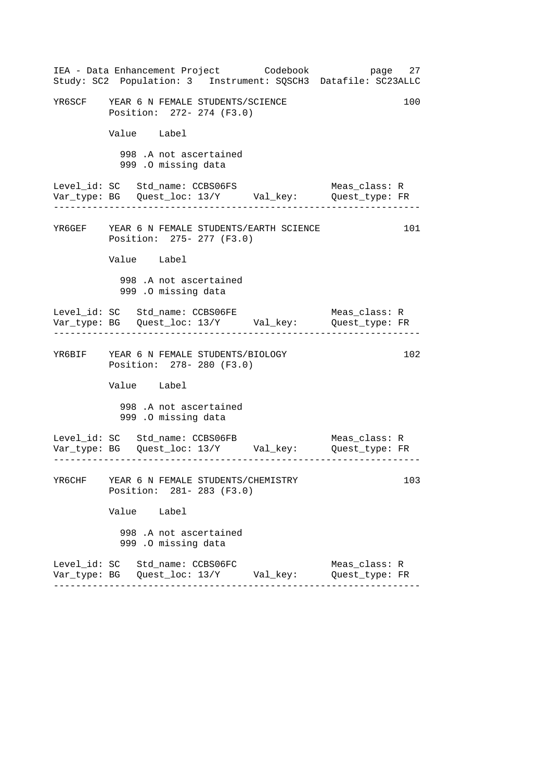|                                 |             |                     |                                                                      | IEA - Data Enhancement Project Codebook<br>Study: SC2 Population: 3 Instrument: SQSCH3 Datafile: SC23ALLC |                                 | page 27 |
|---------------------------------|-------------|---------------------|----------------------------------------------------------------------|-----------------------------------------------------------------------------------------------------------|---------------------------------|---------|
|                                 |             |                     | YR6SCF YEAR 6 N FEMALE STUDENTS/SCIENCE<br>Position: 272- 274 (F3.0) |                                                                                                           |                                 | 100     |
|                                 | Value Label |                     |                                                                      |                                                                                                           |                                 |         |
|                                 |             | 999 .O missing data | 998 .A not ascertained                                               |                                                                                                           |                                 |         |
| Level_id: SC Std_name: CCBS06FS |             |                     |                                                                      | Var_type: BG    Quest_loc: 13/Y    Val_key:    Quest_type: FR                                             | Meas_class: R                   |         |
|                                 |             |                     | Position: 275- 277 (F3.0)                                            | YR6GEF YEAR 6 N FEMALE STUDENTS/EARTH SCIENCE                                                             |                                 | 101     |
|                                 | Value Label |                     |                                                                      |                                                                                                           |                                 |         |
|                                 |             | 999 .O missing data | 998 .A not ascertained                                               |                                                                                                           |                                 |         |
| Level_id: SC Std_name: CCBS06FE |             |                     |                                                                      |                                                                                                           | Meas_class: R                   |         |
|                                 |             |                     | YR6BIF YEAR 6 N FEMALE STUDENTS/BIOLOGY<br>Position: 278- 280 (F3.0) |                                                                                                           |                                 | 102     |
|                                 | Value Label |                     |                                                                      |                                                                                                           |                                 |         |
|                                 |             | 999 .O missing data | 998 .A not ascertained                                               |                                                                                                           |                                 |         |
| Level_id: SC Std_name: CCBS06FB |             |                     |                                                                      |                                                                                                           | Meas_class: R                   |         |
| YR6CHF                          |             |                     | YEAR 6 N FEMALE STUDENTS/CHEMISTRY<br>Position: 281- 283 (F3.0)      |                                                                                                           |                                 | 103     |
|                                 | Value Label |                     |                                                                      |                                                                                                           |                                 |         |
|                                 |             | 999 .O missing data | 998 .A not ascertained                                               |                                                                                                           |                                 |         |
| Level_id: SC Std_name: CCBS06FC |             |                     |                                                                      | Var_type: BG   Quest_loc: 13/Y        Val_key:                                                            | Meas_class: R<br>Quest_type: FR |         |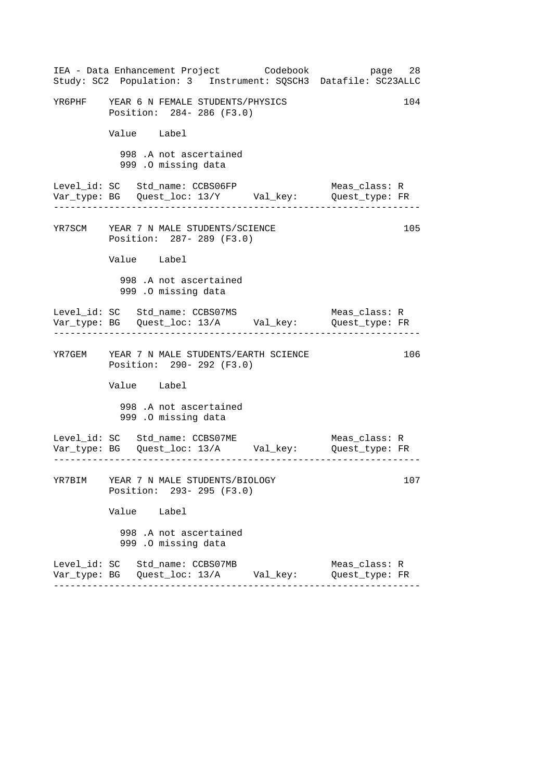|                                         |                                               | IEA - Data Enhancement Project Codebook     | page 28<br>Study: SC2 Population: 3 Instrument: SQSCH3 Datafile: SC23ALLC      |     |
|-----------------------------------------|-----------------------------------------------|---------------------------------------------|--------------------------------------------------------------------------------|-----|
| YR6PHF YEAR 6 N FEMALE STUDENTS/PHYSICS | Position: 284- 286 (F3.0)                     |                                             |                                                                                | 104 |
|                                         | Value Label                                   |                                             |                                                                                |     |
|                                         | 998 .A not ascertained<br>999.0 missing data  |                                             |                                                                                |     |
| Level_id: SC Std_name: CCBS06FP         |                                               |                                             | Meas class: R<br>Var_type: BG    Quest_loc: 13/Y    Val_key:    Quest_type: FR |     |
| YR7SCM YEAR 7 N MALE STUDENTS/SCIENCE   | Position: 287- 289 (F3.0)                     |                                             |                                                                                | 105 |
|                                         | Value Label                                   |                                             |                                                                                |     |
|                                         | 998 .A not ascertained<br>999 .O missing data |                                             |                                                                                |     |
| Level_id: SC Std_name: CCBS07MS         |                                               |                                             | Meas_class: R<br>Var_type: BG    Quest_loc: 13/A    Val_key:    Quest_type: FR |     |
|                                         | Position: 290- 292 (F3.0)                     | YR7GEM YEAR 7 N MALE STUDENTS/EARTH SCIENCE |                                                                                | 106 |
|                                         | Value Label                                   |                                             |                                                                                |     |
|                                         | 998 .A not ascertained<br>999 .O missing data |                                             |                                                                                |     |
| Level_id: SC Std_name: CCBS07ME         |                                               |                                             | Meas_class: R<br>Var_type: BG    Quest_loc: 13/A    Val_key:    Quest_type: FR |     |
| YR7BIM YEAR 7 N MALE STUDENTS/BIOLOGY   | Position: 293- 295 (F3.0)                     |                                             |                                                                                | 107 |
|                                         | Value Label                                   |                                             |                                                                                |     |
|                                         | 998 .A not ascertained<br>999 .O missing data |                                             |                                                                                |     |
| Level_id: SC Std_name: CCBS07MB         |                                               |                                             | Meas_class: R<br>Quest_type: FR                                                |     |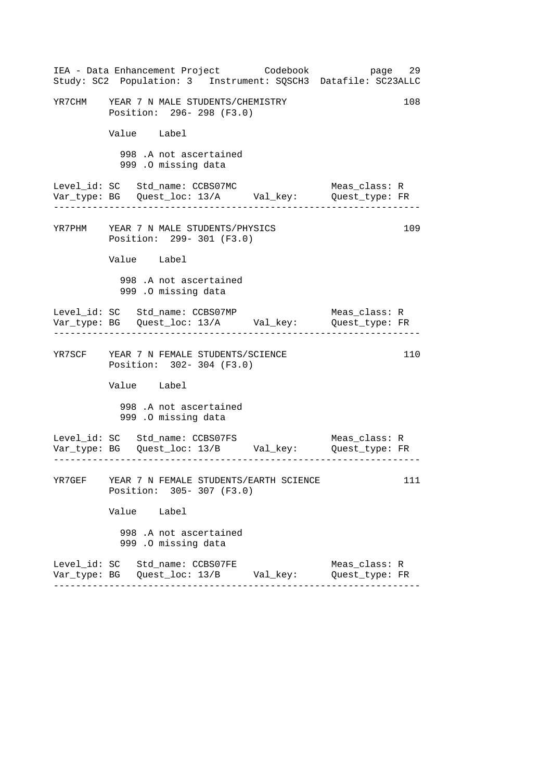|                                         |             |                                               |                           | IEA - Data Enhancement Project Codebook<br>Study: SC2 Population: 3 Instrument: SQSCH3 Datafile: SC23ALLC | page 29                            |     |
|-----------------------------------------|-------------|-----------------------------------------------|---------------------------|-----------------------------------------------------------------------------------------------------------|------------------------------------|-----|
| YR7CHM YEAR 7 N MALE STUDENTS/CHEMISTRY |             |                                               | Position: 296-298 (F3.0)  |                                                                                                           |                                    | 108 |
|                                         | Value Label |                                               |                           |                                                                                                           |                                    |     |
|                                         |             | 998 .A not ascertained<br>999.0 missing data  |                           |                                                                                                           |                                    |     |
| Level_id: SC Std_name: CCBS07MC         |             |                                               |                           | Var_type: BG    Quest_loc: 13/A    Val_key:    Quest_type: FR                                             | Meas_class: R                      |     |
| YR7PHM YEAR 7 N MALE STUDENTS/PHYSICS   |             |                                               | Position: 299- 301 (F3.0) |                                                                                                           |                                    | 109 |
|                                         | Value Label |                                               |                           |                                                                                                           |                                    |     |
|                                         |             | 998 .A not ascertained<br>999 .O missing data |                           |                                                                                                           |                                    |     |
| Level_id: SC Std_name: CCBS07MP         |             |                                               |                           | Var_type: BG    Quest_loc: 13/A    Val_key:    Quest_type: FR                                             | Meas_class: R<br>----------------- |     |
| YR7SCF YEAR 7 N FEMALE STUDENTS/SCIENCE |             |                                               | Position: 302- 304 (F3.0) |                                                                                                           |                                    | 110 |
|                                         | Value Label |                                               |                           |                                                                                                           |                                    |     |
|                                         |             | 998 .A not ascertained<br>999 .O missing data |                           |                                                                                                           |                                    |     |
| Level_id: SC Std_name: CCBS07FS         |             |                                               |                           |                                                                                                           | Meas_class: R                      |     |
|                                         |             |                                               | Position: 305-307 (F3.0)  | YR7GEF YEAR 7 N FEMALE STUDENTS/EARTH SCIENCE                                                             |                                    | 111 |
|                                         | Value Label |                                               |                           |                                                                                                           |                                    |     |
|                                         |             | 998 .A not ascertained<br>999 .O missing data |                           |                                                                                                           |                                    |     |
| Level_id: SC Std_name: CCBS07FE         |             |                                               |                           |                                                                                                           | Meas_class: R<br>Quest_type: FR    |     |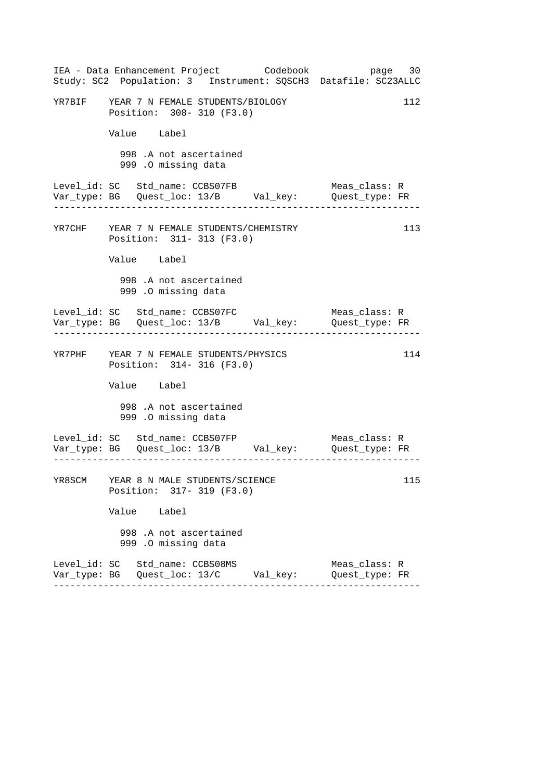| IEA - Data Enhancement Project Codebook<br>Study: SC2 Population: 3 Instrument: SQSCH3 Datafile: SC23ALLC | page 30                         |
|-----------------------------------------------------------------------------------------------------------|---------------------------------|
| YR7BIF YEAR 7 N FEMALE STUDENTS/BIOLOGY<br>Position: 308- 310 (F3.0)                                      | 112                             |
| Value Label                                                                                               |                                 |
| 998 .A not ascertained<br>999 .O missing data                                                             |                                 |
| Level_id: SC Std_name: CCBS07FB<br>Var_type: BG    Quest_loc: 13/B    Val_key:    Quest_type: FR          | Meas_class: R                   |
| YR7CHF YEAR 7 N FEMALE STUDENTS/CHEMISTRY<br>Position: 311- 313 (F3.0)                                    | 113                             |
| Value Label                                                                                               |                                 |
| 998 .A not ascertained<br>999 .0 missing data                                                             |                                 |
| Level_id: SC Std_name: CCBS07FC<br>Var_type: BG    Quest_loc: 13/B    Val_key:    Quest_type: FR          | Meas_class: R                   |
| YR7PHF YEAR 7 N FEMALE STUDENTS/PHYSICS<br>Position: 314- 316 (F3.0)                                      | 114                             |
| Value Label                                                                                               |                                 |
| 998 .A not ascertained<br>999 .O missing data                                                             |                                 |
| Level_id: SC Std_name: CCBS07FP<br>Var_type: BG    Quest_loc: 13/B    Val_key:    Quest_type: FR          | Meas_class: R                   |
| YR8SCM YEAR 8 N MALE STUDENTS/SCIENCE<br>Position: 317- 319 (F3.0)                                        | 115                             |
| Value Label                                                                                               |                                 |
| 998 .A not ascertained<br>999 .O missing data                                                             |                                 |
| Level_id: SC Std_name: CCBS08MS                                                                           | Meas_class: R<br>Quest_type: FR |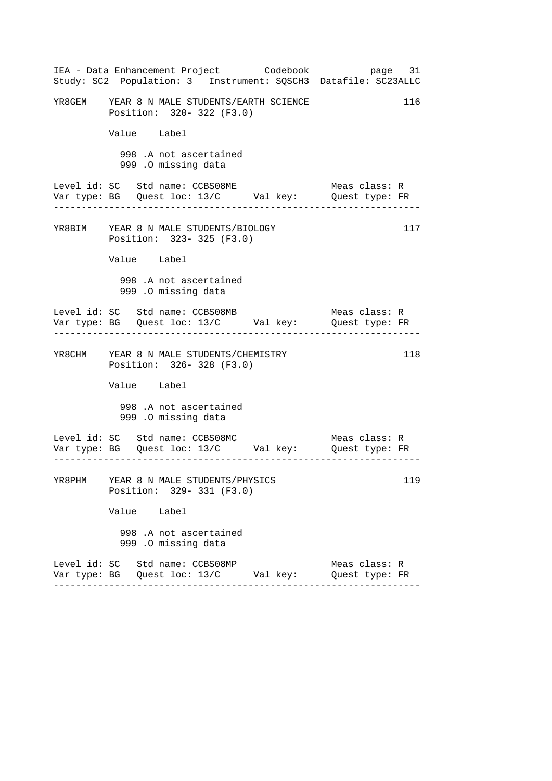|        | IEA - Data Enhancement Project Codebook<br>Study: SC2 Population: 3 Instrument: SQSCH3 Datafile: SC23ALLC | page 31                         |
|--------|-----------------------------------------------------------------------------------------------------------|---------------------------------|
|        | YR8GEM YEAR 8 N MALE STUDENTS/EARTH SCIENCE<br>Position: 320-322 (F3.0)                                   | 116                             |
|        | Value Label                                                                                               |                                 |
|        | 998 .A not ascertained<br>999 .O missing data                                                             |                                 |
|        | Level_id: SC Std_name: CCBS08ME<br>Var_type: BG    Quest_loc: 13/C    Val_key:    Quest_type: FR          | Meas_class: R                   |
|        | YR8BIM YEAR 8 N MALE STUDENTS/BIOLOGY<br>Position: 323- 325 (F3.0)                                        | 117                             |
|        | Value Label                                                                                               |                                 |
|        | 998 .A not ascertained<br>999 .0 missing data                                                             |                                 |
|        | Level_id: SC Std_name: CCBS08MB<br>Var_type: BG    Quest_loc: 13/C    Val_key:    Quest_type: FR          | Meas_class: R                   |
|        | YR8CHM YEAR 8 N MALE STUDENTS/CHEMISTRY<br>Position: 326-328 (F3.0)                                       | 118                             |
|        | Value Label                                                                                               |                                 |
|        | 998 .A not ascertained<br>999 .O missing data                                                             |                                 |
|        | Level_id: SC Std_name: CCBS08MC<br>Var_type: BG    Quest_loc: 13/C    Val_key:    Quest_type: FR          | Meas_class: R                   |
| YR8PHM | YEAR 8 N MALE STUDENTS/PHYSICS<br>Position: 329- 331 (F3.0)                                               | 119                             |
|        | Value Label                                                                                               |                                 |
|        | 998 .A not ascertained<br>999 .O missing data                                                             |                                 |
|        | Level_id: SC Std_name: CCBS08MP                                                                           | Meas_class: R<br>Quest_type: FR |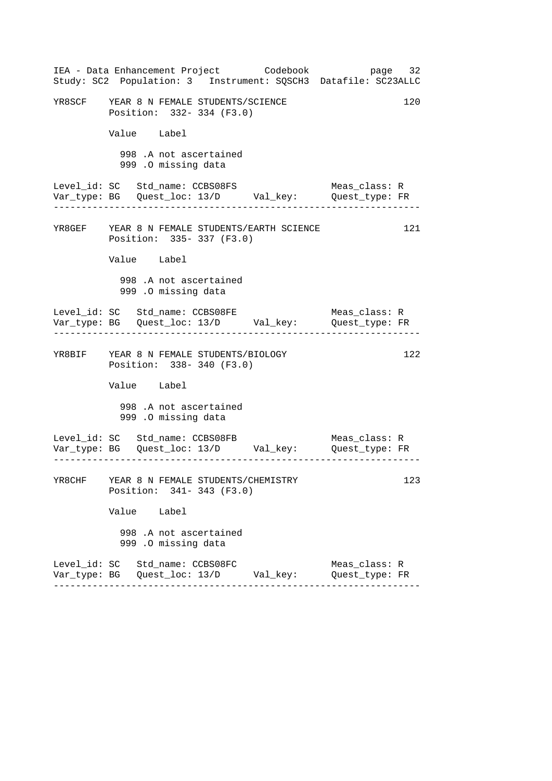|                                         |             |                     |                                                                 | IEA - Data Enhancement Project Codebook<br>Study: SC2 Population: 3 Instrument: SQSCH3 Datafile: SC23ALLC | page 32                         |     |
|-----------------------------------------|-------------|---------------------|-----------------------------------------------------------------|-----------------------------------------------------------------------------------------------------------|---------------------------------|-----|
| YR8SCF YEAR 8 N FEMALE STUDENTS/SCIENCE |             |                     | Position: 332-334 (F3.0)                                        |                                                                                                           |                                 | 120 |
|                                         | Value Label |                     |                                                                 |                                                                                                           |                                 |     |
|                                         |             | 999 .O missing data | 998 .A not ascertained                                          |                                                                                                           |                                 |     |
| Level_id: SC Std_name: CCBS08FS         |             |                     |                                                                 |                                                                                                           | Meas_class: R                   |     |
|                                         |             |                     | Position: 335-337 (F3.0)                                        | YR8GEF YEAR 8 N FEMALE STUDENTS/EARTH SCIENCE                                                             |                                 | 121 |
|                                         | Value Label |                     |                                                                 |                                                                                                           |                                 |     |
|                                         |             | 999 .O missing data | 998 .A not ascertained                                          |                                                                                                           |                                 |     |
| Level_id: SC Std_name: CCBS08FE         |             |                     |                                                                 |                                                                                                           | Meas_class: R                   |     |
| YR8BIF YEAR 8 N FEMALE STUDENTS/BIOLOGY |             |                     | Position: 338-340 (F3.0)                                        |                                                                                                           |                                 | 122 |
|                                         | Value Label |                     |                                                                 |                                                                                                           |                                 |     |
|                                         |             | 999 .O missing data | 998 .A not ascertained                                          |                                                                                                           |                                 |     |
| Level_id: SC Std_name: CCBS08FB         |             |                     |                                                                 | Var_type: BG Quest_loc: 13/D    Val_key:    Quest_type: FR                                                | Meas_class: R                   |     |
| YR8CHF                                  |             |                     | YEAR 8 N FEMALE STUDENTS/CHEMISTRY<br>Position: 341- 343 (F3.0) |                                                                                                           |                                 | 123 |
|                                         | Value Label |                     |                                                                 |                                                                                                           |                                 |     |
|                                         |             | 999 .O missing data | 998 .A not ascertained                                          |                                                                                                           |                                 |     |
| Level_id: SC Std_name: CCBS08FC         |             |                     |                                                                 | Var_type: BG   Quest_loc: 13/D        Val_key:                                                            | Meas_class: R<br>Quest_type: FR |     |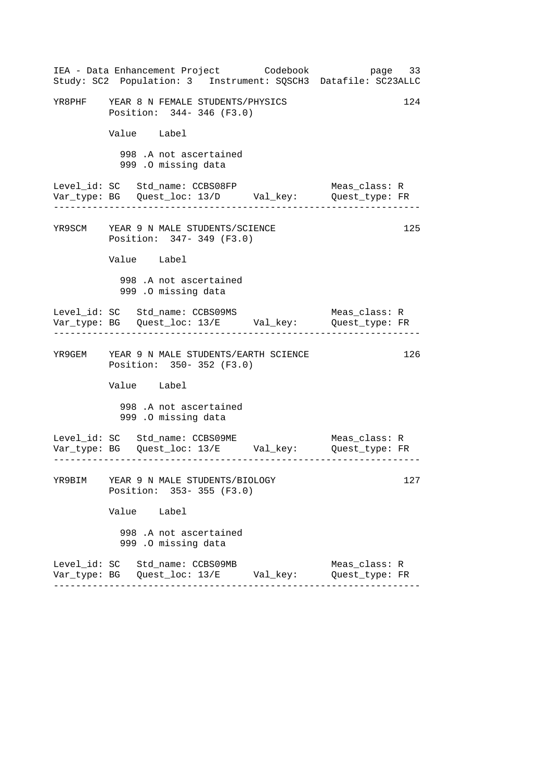| IEA - Data Enhancement Project Codebook<br>Study: SC2 Population: 3 Instrument: SQSCH3 Datafile: SC23ALLC |  | page 33                         |     |
|-----------------------------------------------------------------------------------------------------------|--|---------------------------------|-----|
| YR8PHF YEAR 8 N FEMALE STUDENTS/PHYSICS<br>Position: 344-346 (F3.0)                                       |  |                                 | 124 |
| Value Label                                                                                               |  |                                 |     |
| 998 .A not ascertained<br>999 .O missing data                                                             |  |                                 |     |
| Level_id: SC Std_name: CCBS08FP<br>Var_type: BG    Quest_loc: 13/D    Val_key:    Quest_type: FR          |  | Meas_class: R                   |     |
| YR9SCM YEAR 9 N MALE STUDENTS/SCIENCE<br>Position: 347- 349 (F3.0)                                        |  |                                 | 125 |
| Value Label                                                                                               |  |                                 |     |
| 998 .A not ascertained<br>999 .O missing data                                                             |  |                                 |     |
| Level_id: SC Std_name: CCBS09MS<br>Var_type: BG    Quest_loc: 13/E    Val_key:    Quest_type: FR          |  | Meas_class: R                   |     |
| YR9GEM YEAR 9 N MALE STUDENTS/EARTH SCIENCE<br>Position: 350-352 (F3.0)                                   |  |                                 | 126 |
| Value Label                                                                                               |  |                                 |     |
| 998 .A not ascertained<br>999 .O missing data                                                             |  |                                 |     |
| Level_id: SC Std_name: CCBS09ME<br>Var_type: BG Quest_loc: 13/E    Val_key:    Quest_type: FR             |  | Meas_class: R                   |     |
| YR9BIM YEAR 9 N MALE STUDENTS/BIOLOGY<br>Position: 353-355 (F3.0)                                         |  |                                 | 127 |
| Value Label                                                                                               |  |                                 |     |
| 998 .A not ascertained<br>999 .O missing data                                                             |  |                                 |     |
| Level_id: SC Std_name: CCBS09MB<br>Var_type: BG    Quest_loc: 13/E        Val_key:                        |  | Meas_class: R<br>Quest_type: FR |     |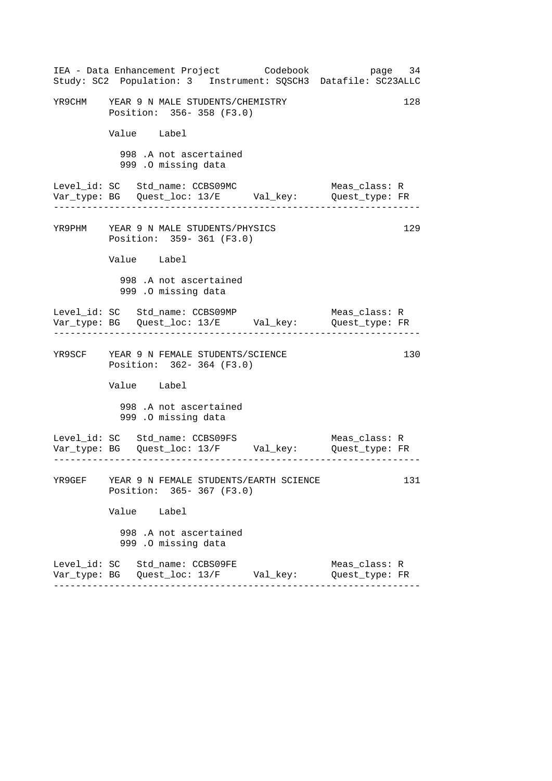|                                         |             |                                               |                          | IEA - Data Enhancement Project Codebook<br>Study: SC2 Population: 3 Instrument: SQSCH3 Datafile: SC23ALLC | page 34                         |     |
|-----------------------------------------|-------------|-----------------------------------------------|--------------------------|-----------------------------------------------------------------------------------------------------------|---------------------------------|-----|
| YR9CHM YEAR 9 N MALE STUDENTS/CHEMISTRY |             |                                               | Position: 356-358 (F3.0) |                                                                                                           |                                 | 128 |
|                                         | Value Label |                                               |                          |                                                                                                           |                                 |     |
|                                         |             | 998 .A not ascertained<br>999 .O missing data |                          |                                                                                                           |                                 |     |
| Level_id: SC Std_name: CCBS09MC         |             |                                               |                          | Var_type: BG    Quest_loc: 13/E    Val_key:    Quest_type: FR                                             | Meas_class: R                   |     |
| YR9PHM YEAR 9 N MALE STUDENTS/PHYSICS   |             |                                               | Position: 359-361 (F3.0) |                                                                                                           |                                 | 129 |
|                                         | Value Label |                                               |                          |                                                                                                           |                                 |     |
|                                         |             | 998 .A not ascertained<br>999 .O missing data |                          |                                                                                                           |                                 |     |
| Level_id: SC Std_name: CCBS09MP         |             |                                               |                          | Var_type: BG    Quest_loc: 13/E    Val_key:    Quest_type: FR                                             | Meas_class: R<br>.              |     |
| YR9SCF YEAR 9 N FEMALE STUDENTS/SCIENCE |             |                                               | Position: 362-364 (F3.0) |                                                                                                           |                                 | 130 |
|                                         | Value Label |                                               |                          |                                                                                                           |                                 |     |
|                                         |             | 998 .A not ascertained<br>999 .O missing data |                          |                                                                                                           |                                 |     |
| Level_id: SC Std_name: CCBS09FS         |             |                                               |                          | Var_type: BG    Quest_loc: 13/F    Val_key:    Quest_type: FR                                             | Meas_class: R                   |     |
|                                         |             |                                               | Position: 365-367 (F3.0) | YR9GEF YEAR 9 N FEMALE STUDENTS/EARTH SCIENCE                                                             |                                 | 131 |
|                                         | Value Label |                                               |                          |                                                                                                           |                                 |     |
|                                         |             | 998 .A not ascertained<br>999 .O missing data |                          |                                                                                                           |                                 |     |
| Level_id: SC Std_name: CCBS09FE         |             |                                               |                          |                                                                                                           | Meas_class: R<br>Quest_type: FR |     |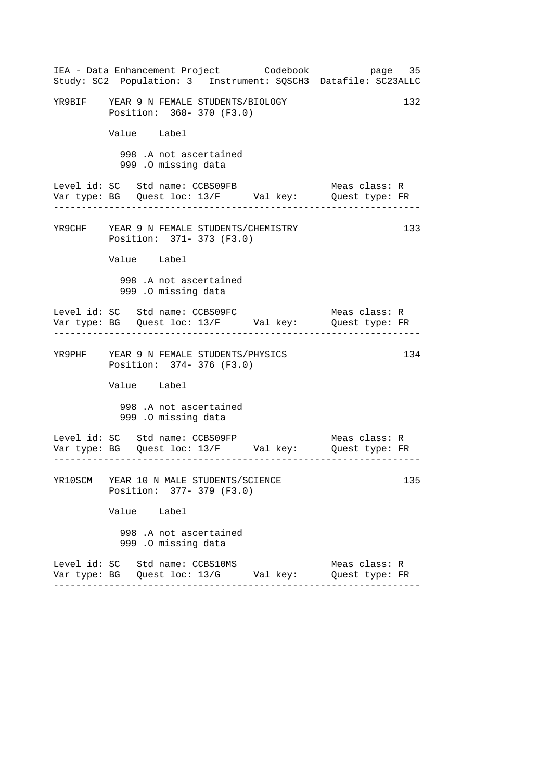|                                 |                                               |                                                                        | IEA - Data Enhancement Project Codebook      | Study: SC2 Population: 3 Instrument: SQSCH3 Datafile: SC23ALLC                 | page 35 |
|---------------------------------|-----------------------------------------------|------------------------------------------------------------------------|----------------------------------------------|--------------------------------------------------------------------------------|---------|
|                                 |                                               | YR9BIF YEAR 9 N FEMALE STUDENTS/BIOLOGY<br>Position: 368- 370 (F3.0)   |                                              |                                                                                | 132     |
|                                 | Value Label                                   |                                                                        |                                              |                                                                                |         |
|                                 | 998 .A not ascertained<br>999 .O missing data |                                                                        |                                              |                                                                                |         |
| Level_id: SC Std_name: CCBS09FB |                                               |                                                                        |                                              | Meas_class: R<br>Var_type: BG    Quest_loc: 13/F    Val_key:    Quest_type: FR |         |
|                                 |                                               | YR9CHF YEAR 9 N FEMALE STUDENTS/CHEMISTRY<br>Position: 371- 373 (F3.0) |                                              |                                                                                | 133     |
|                                 | Value Label                                   |                                                                        |                                              |                                                                                |         |
|                                 | 998 .A not ascertained<br>999 .O missing data |                                                                        |                                              |                                                                                |         |
|                                 |                                               | Level_id: SC Std_name: CCBS09FC                                        |                                              | Meas_class: R                                                                  |         |
|                                 |                                               | YR9PHF YEAR 9 N FEMALE STUDENTS/PHYSICS<br>Position: 374- 376 (F3.0)   |                                              |                                                                                | 134     |
|                                 | Value Label                                   |                                                                        |                                              |                                                                                |         |
|                                 | 998 .A not ascertained<br>999 .O missing data |                                                                        |                                              |                                                                                |         |
| Level_id: SC Std_name: CCBS09FP |                                               |                                                                        |                                              | Meas_class: R                                                                  |         |
|                                 |                                               | YR10SCM YEAR 10 N MALE STUDENTS/SCIENCE<br>Position: 377- 379 (F3.0)   |                                              |                                                                                | 135     |
|                                 | Value Label                                   |                                                                        |                                              |                                                                                |         |
|                                 | 998 .A not ascertained<br>999 .O missing data |                                                                        |                                              |                                                                                |         |
| Level_id: SC Std_name: CCBS10MS |                                               |                                                                        | Var_type: BG   Quest_loc: 13/G      Val_key: | Meas_class: R<br>Quest_type: FR                                                |         |
|                                 |                                               |                                                                        |                                              |                                                                                |         |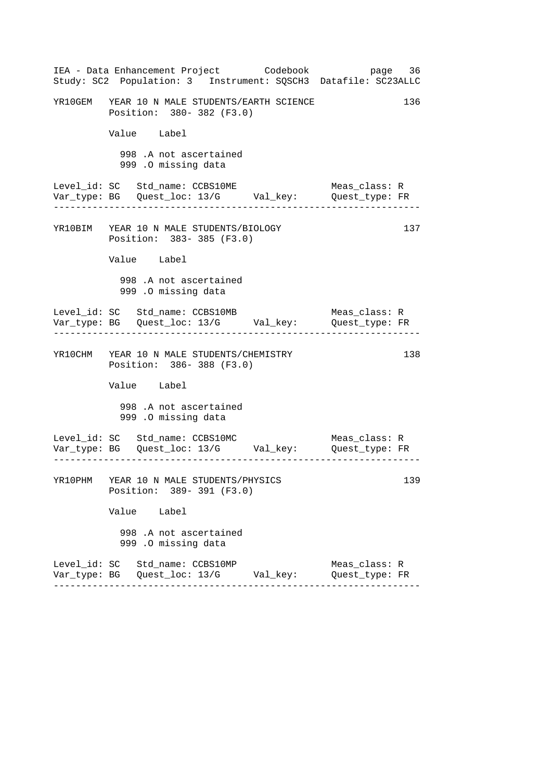|  | IEA - Data Enhancement Project Codebook<br>Study: SC2 Population: 3 Instrument: SQSCH3 Datafile: SC23ALLC |  |                                 | page 36 |
|--|-----------------------------------------------------------------------------------------------------------|--|---------------------------------|---------|
|  | YR10GEM YEAR 10 N MALE STUDENTS/EARTH SCIENCE<br>Position: 380- 382 (F3.0)                                |  |                                 | 136     |
|  | Value Label                                                                                               |  |                                 |         |
|  | 998 .A not ascertained<br>999 .O missing data                                                             |  |                                 |         |
|  | Level_id: SC Std_name: CCBS10ME<br>Var_type: BG    Quest_loc: 13/G    Val_key:    Quest_type: FR          |  | Meas_class: R                   |         |
|  | YR10BIM YEAR 10 N MALE STUDENTS/BIOLOGY<br>Position: 383-385 (F3.0)                                       |  |                                 | 137     |
|  | Value Label                                                                                               |  |                                 |         |
|  | 998 .A not ascertained<br>999 .0 missing data                                                             |  |                                 |         |
|  | Level_id: SC Std_name: CCBS10MB                                                                           |  | Meas_class: R                   |         |
|  | YR10CHM YEAR 10 N MALE STUDENTS/CHEMISTRY<br>Position: 386-388 (F3.0)                                     |  |                                 | 138     |
|  | Value Label                                                                                               |  |                                 |         |
|  | 998 .A not ascertained<br>999 .O missing data                                                             |  |                                 |         |
|  | Level_id: SC Std_name: CCBS10MC                                                                           |  | Meas_class: R                   |         |
|  | YR10PHM YEAR 10 N MALE STUDENTS/PHYSICS<br>Position: 389-391 (F3.0)                                       |  |                                 | 139     |
|  | Value Label                                                                                               |  |                                 |         |
|  | 998 .A not ascertained<br>999 .O missing data                                                             |  |                                 |         |
|  | Level_id: SC Std_name: CCBS10MP<br>Var_type: BG   Quest_loc: 13/G        Val_key:                         |  | Meas_class: R<br>Quest_type: FR |         |
|  |                                                                                                           |  |                                 |         |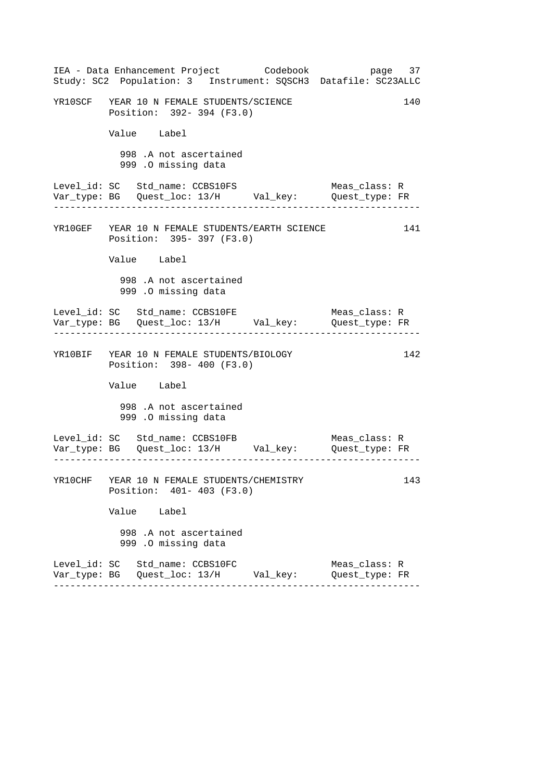|  |                                                                          | IEA - Data Enhancement Project Codebook<br>Study: SC2 Population: 3 Instrument: SQSCH3 Datafile: SC23ALLC |                                 | page 37 |
|--|--------------------------------------------------------------------------|-----------------------------------------------------------------------------------------------------------|---------------------------------|---------|
|  | YR10SCF YEAR 10 N FEMALE STUDENTS/SCIENCE<br>Position: 392- 394 (F3.0)   |                                                                                                           |                                 | 140     |
|  | Value Label                                                              |                                                                                                           |                                 |         |
|  | 998 .A not ascertained<br>999 .O missing data                            |                                                                                                           |                                 |         |
|  | Level_id: SC Std_name: CCBS10FS                                          |                                                                                                           | Meas_class: R                   |         |
|  | Position: 395- 397 (F3.0)                                                | YR10GEF YEAR 10 N FEMALE STUDENTS/EARTH SCIENCE                                                           |                                 | 141     |
|  | Value Label                                                              |                                                                                                           |                                 |         |
|  | 998 .A not ascertained<br>999 .O missing data                            |                                                                                                           |                                 |         |
|  | Level_id: SC Std_name: CCBS10FE                                          |                                                                                                           | Meas_class: R                   |         |
|  | YR10BIF YEAR 10 N FEMALE STUDENTS/BIOLOGY<br>Position: 398- 400 (F3.0)   |                                                                                                           |                                 | 142     |
|  | Value Label                                                              |                                                                                                           |                                 |         |
|  | 998 .A not ascertained<br>999 .O missing data                            |                                                                                                           |                                 |         |
|  | Level_id: SC Std_name: CCBS10FB                                          |                                                                                                           | Meas_class: R                   |         |
|  | YR10CHF YEAR 10 N FEMALE STUDENTS/CHEMISTRY<br>Position: 401- 403 (F3.0) |                                                                                                           |                                 | 143     |
|  | Value Label                                                              |                                                                                                           |                                 |         |
|  | 998 .A not ascertained<br>999 .O missing data                            |                                                                                                           |                                 |         |
|  | Level_id: SC Std_name: CCBS10FC                                          | Var_type: BG   Quest_loc: 13/H       Val_key:                                                             | Meas_class: R<br>Quest_type: FR |         |
|  |                                                                          |                                                                                                           |                                 |         |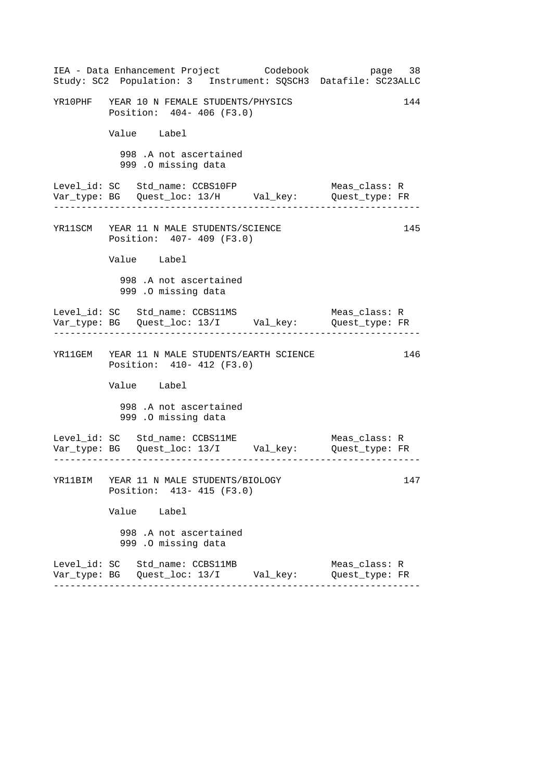|  |                                                                        | IEA - Data Enhancement Project Codebook         | page 38<br>Study: SC2 Population: 3 Instrument: SQSCH3 Datafile: SC23ALLC      |     |
|--|------------------------------------------------------------------------|-------------------------------------------------|--------------------------------------------------------------------------------|-----|
|  | YR10PHF YEAR 10 N FEMALE STUDENTS/PHYSICS<br>Position: 404- 406 (F3.0) |                                                 |                                                                                | 144 |
|  | Value Label                                                            |                                                 |                                                                                |     |
|  | 998 .A not ascertained<br>999 .O missing data                          |                                                 |                                                                                |     |
|  | Level_id: SC Std_name: CCBS10FP                                        |                                                 | Meas_class: R<br>Var_type: BG    Quest_loc: 13/H    Val_key:    Quest_type: FR |     |
|  | YR11SCM YEAR 11 N MALE STUDENTS/SCIENCE<br>Position: 407- 409 (F3.0)   |                                                 |                                                                                | 145 |
|  | Value Label                                                            |                                                 |                                                                                |     |
|  | 998 .A not ascertained<br>999 .O missing data                          |                                                 |                                                                                |     |
|  |                                                                        |                                                 | Meas_class: R<br>Var_type: BG    Quest_loc: 13/I    Val_key:    Quest_type: FR |     |
|  | Position: 410- 412 (F3.0)                                              | YR11GEM YEAR 11 N MALE STUDENTS/EARTH SCIENCE   |                                                                                | 146 |
|  | Value Label                                                            |                                                 |                                                                                |     |
|  | 998 .A not ascertained<br>999 .O missing data                          |                                                 |                                                                                |     |
|  | Level_id: SC Std_name: CCBS11ME                                        |                                                 | Meas_class: R<br>Var_type: BG    Quest_loc: 13/I    Val_key:    Quest_type: FR |     |
|  | YR11BIM YEAR 11 N MALE STUDENTS/BIOLOGY<br>Position: 413- 415 (F3.0)   |                                                 |                                                                                | 147 |
|  | Value Label                                                            |                                                 |                                                                                |     |
|  | 998 .A not ascertained<br>999 .O missing data                          |                                                 |                                                                                |     |
|  | Level_id: SC Std_name: CCBS11MB                                        | Var_type: BG    Quest_loc: 13/I        Val_key: | Meas_class: R<br>Quest_type: FR                                                |     |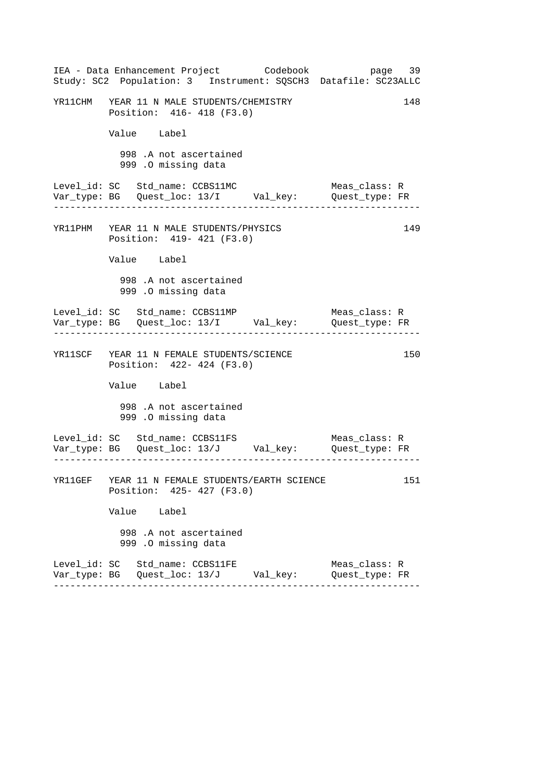|  |                                                                        | IEA - Data Enhancement Project Codebook<br>Study: SC2 Population: 3 Instrument: SQSCH3 Datafile: SC23ALLC | page 39                         |     |
|--|------------------------------------------------------------------------|-----------------------------------------------------------------------------------------------------------|---------------------------------|-----|
|  | YR11CHM YEAR 11 N MALE STUDENTS/CHEMISTRY<br>Position: 416- 418 (F3.0) |                                                                                                           |                                 | 148 |
|  | Value Label                                                            |                                                                                                           |                                 |     |
|  | 998 .A not ascertained<br>999 .O missing data                          |                                                                                                           |                                 |     |
|  | Level_id: SC Std_name: CCBS11MC                                        | Var_type: BG    Quest_loc: 13/I    Val_key:    Quest_type: FR                                             | Meas_class: R                   |     |
|  | YR11PHM YEAR 11 N MALE STUDENTS/PHYSICS<br>Position: 419- 421 (F3.0)   |                                                                                                           |                                 | 149 |
|  | Value Label                                                            |                                                                                                           |                                 |     |
|  | 998 .A not ascertained<br>999 .O missing data                          |                                                                                                           |                                 |     |
|  |                                                                        | Var_type: BG    Quest_loc: 13/I    Val_key:    Quest_type: FR                                             | Meas_class: R                   |     |
|  | YR11SCF YEAR 11 N FEMALE STUDENTS/SCIENCE<br>Position: 422- 424 (F3.0) |                                                                                                           |                                 | 150 |
|  | Value Label                                                            |                                                                                                           |                                 |     |
|  | 998 .A not ascertained<br>999 .O missing data                          |                                                                                                           |                                 |     |
|  | Level_id: SC Std_name: CCBS11FS                                        | Var_type: BG    Quest_loc: 13/J    Val_key:    Quest_type: FR                                             | Meas_class: R                   |     |
|  | Position: 425- 427 (F3.0)                                              | YR11GEF YEAR 11 N FEMALE STUDENTS/EARTH SCIENCE                                                           |                                 | 151 |
|  | Value Label                                                            |                                                                                                           |                                 |     |
|  | 998 .A not ascertained<br>999 .O missing data                          |                                                                                                           |                                 |     |
|  | Level_id: SC Std_name: CCBS11FE                                        | Var_type: BG    Quest_loc: 13/J         Val_key:                                                          | Meas_class: R<br>Quest_type: FR |     |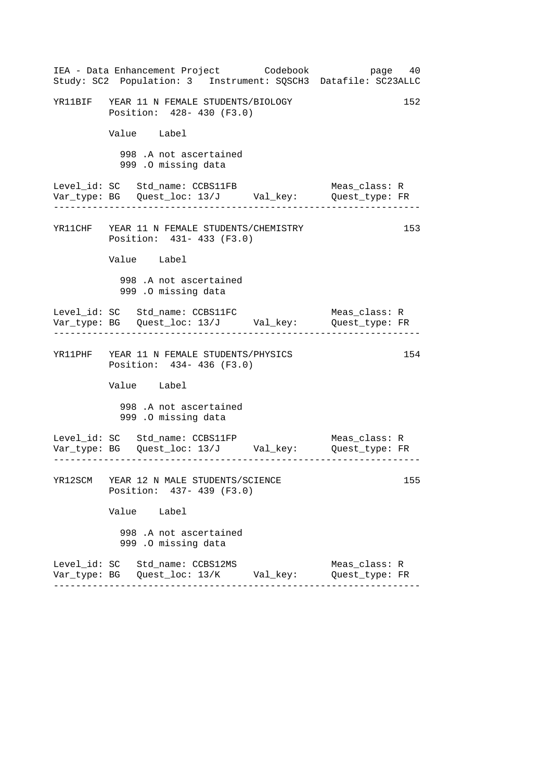|  | IEA - Data Enhancement Project Codebook                                         |  | Study: SC2 Population: 3 Instrument: SQSCH3 Datafile: SC23ALLC                 | page 40 |
|--|---------------------------------------------------------------------------------|--|--------------------------------------------------------------------------------|---------|
|  | YR11BIF YEAR 11 N FEMALE STUDENTS/BIOLOGY<br>Position: 428- 430 (F3.0)          |  |                                                                                | 152     |
|  | Value Label                                                                     |  |                                                                                |         |
|  | 998 .A not ascertained<br>999 .O missing data                                   |  |                                                                                |         |
|  | Level_id: SC Std_name: CCBS11FB                                                 |  | Meas_class: R<br>Var_type: BG    Quest_loc: 13/J    Val_key:    Quest_type: FR |         |
|  | YR11CHF YEAR 11 N FEMALE STUDENTS/CHEMISTRY<br>Position: 431- 433 (F3.0)        |  |                                                                                | 153     |
|  | Value Label                                                                     |  |                                                                                |         |
|  | 998 .A not ascertained<br>999 .O missing data                                   |  |                                                                                |         |
|  |                                                                                 |  | Meas_class: R                                                                  |         |
|  | YR11PHF YEAR 11 N FEMALE STUDENTS/PHYSICS<br>Position: 434- 436 (F3.0)          |  |                                                                                | 154     |
|  | Value Label                                                                     |  |                                                                                |         |
|  | 998 .A not ascertained<br>999 .O missing data                                   |  |                                                                                |         |
|  | Level_id: SC Std_name: CCBS11FP                                                 |  | Meas_class: R                                                                  |         |
|  | YR12SCM YEAR 12 N MALE STUDENTS/SCIENCE<br>Position: 437- 439 (F3.0)            |  |                                                                                | 155     |
|  | Value Label                                                                     |  |                                                                                |         |
|  | 998 .A not ascertained<br>999 .O missing data                                   |  |                                                                                |         |
|  | Level_id: SC Std_name: CCBS12MS<br>Var_type: BG   Quest_loc: 13/K      Val_key: |  | Meas class: R<br>Quest_type: FR                                                |         |
|  |                                                                                 |  |                                                                                |         |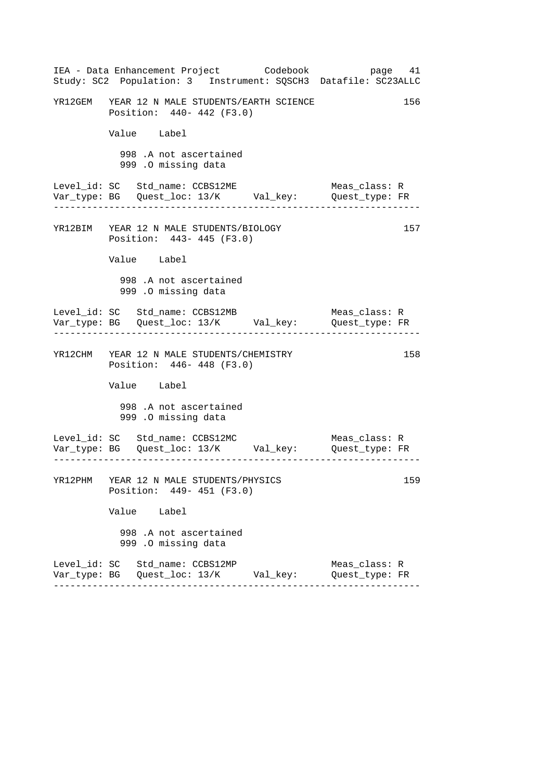|  | IEA - Data Enhancement Project Codebook<br>Study: SC2 Population: 3 Instrument: SQSCH3 Datafile: SC23ALLC |  |                                 | page 41 |
|--|-----------------------------------------------------------------------------------------------------------|--|---------------------------------|---------|
|  | YR12GEM YEAR 12 N MALE STUDENTS/EARTH SCIENCE<br>Position: 440- 442 (F3.0)                                |  |                                 | 156     |
|  | Value Label                                                                                               |  |                                 |         |
|  | 998 .A not ascertained<br>999 .O missing data                                                             |  |                                 |         |
|  | Level_id: SC Std_name: CCBS12ME                                                                           |  | Meas class: R                   |         |
|  | YR12BIM YEAR 12 N MALE STUDENTS/BIOLOGY<br>Position: 443- 445 (F3.0)                                      |  |                                 | 157     |
|  | Value Label                                                                                               |  |                                 |         |
|  | 998 .A not ascertained<br>999 .O missing data                                                             |  |                                 |         |
|  | Level_id: SC Std_name: CCBS12MB                                                                           |  | Meas_class: R                   |         |
|  | YR12CHM YEAR 12 N MALE STUDENTS/CHEMISTRY<br>Position: 446- 448 (F3.0)                                    |  |                                 | 158     |
|  | Value Label                                                                                               |  |                                 |         |
|  | 998 .A not ascertained<br>999 .O missing data                                                             |  |                                 |         |
|  | Level_id: SC Std_name: CCBS12MC                                                                           |  | Meas_class: R                   |         |
|  | YR12PHM YEAR 12 N MALE STUDENTS/PHYSICS<br>Position: 449- 451 (F3.0)                                      |  |                                 | 159     |
|  | Value Label                                                                                               |  |                                 |         |
|  | 998 .A not ascertained<br>999 .O missing data                                                             |  |                                 |         |
|  | Level_id: SC Std_name: CCBS12MP<br>Var_type: BG   Quest_loc: 13/K       Val_key:                          |  | Meas class: R<br>Quest_type: FR |         |
|  |                                                                                                           |  |                                 |         |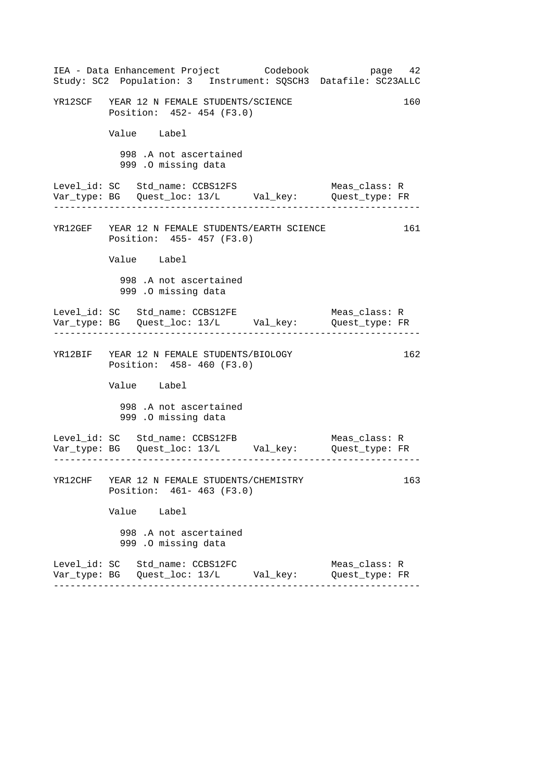|  |                                                                         | IEA - Data Enhancement Project Codebook<br>Study: SC2 Population: 3 Instrument: SQSCH3 Datafile: SC23ALLC |                                 | page 42 |
|--|-------------------------------------------------------------------------|-----------------------------------------------------------------------------------------------------------|---------------------------------|---------|
|  | YR12SCF YEAR 12 N FEMALE STUDENTS/SCIENCE<br>Position: 452- 454 (F3.0)  |                                                                                                           |                                 | 160     |
|  | Value Label                                                             |                                                                                                           |                                 |         |
|  | 998 .A not ascertained<br>999 .O missing data                           |                                                                                                           |                                 |         |
|  | Level_id: SC Std_name: CCBS12FS                                         |                                                                                                           | Meas_class: R                   |         |
|  | Position: 455- 457 (F3.0)                                               | YR12GEF YEAR 12 N FEMALE STUDENTS/EARTH SCIENCE                                                           |                                 | 161     |
|  | Value Label                                                             |                                                                                                           |                                 |         |
|  | 998 .A not ascertained<br>999 .O missing data                           |                                                                                                           |                                 |         |
|  | Level_id: SC Std_name: CCBS12FE                                         |                                                                                                           | Meas_class: R                   |         |
|  | YR12BIF YEAR 12 N FEMALE STUDENTS/BIOLOGY<br>Position: 458- 460 (F3.0)  |                                                                                                           |                                 | 162     |
|  | Value Label                                                             |                                                                                                           |                                 |         |
|  | 998 .A not ascertained<br>999 .O missing data                           |                                                                                                           |                                 |         |
|  | Level_id: SC Std_name: CCBS12FB                                         |                                                                                                           | Meas_class: R                   |         |
|  | YR12CHF YEAR 12 N FEMALE STUDENTS/CHEMISTRY<br>Position: 461-463 (F3.0) |                                                                                                           |                                 | 163     |
|  | Value Label                                                             |                                                                                                           |                                 |         |
|  | 998 .A not ascertained<br>999 .O missing data                           |                                                                                                           |                                 |         |
|  | Level_id: SC Std_name: CCBS12FC                                         | Var_type: BG   Quest_loc: 13/L        Val_key:                                                            | Meas_class: R<br>Quest_type: FR |         |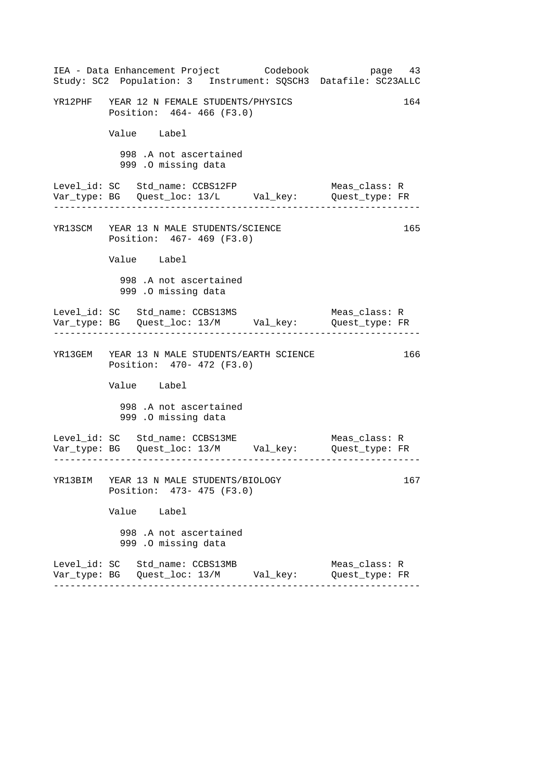|  | IEA - Data Enhancement Project Codebook<br>Study: SC2 Population: 3 Instrument: SQSCH3 Datafile: SC23ALLC |  |                                 | page 43 |
|--|-----------------------------------------------------------------------------------------------------------|--|---------------------------------|---------|
|  | YR12PHF YEAR 12 N FEMALE STUDENTS/PHYSICS<br>Position: 464-466 (F3.0)                                     |  |                                 | 164     |
|  | Value Label                                                                                               |  |                                 |         |
|  | 998 .A not ascertained<br>999 .O missing data                                                             |  |                                 |         |
|  | Level_id: SC Std_name: CCBS12FP<br>Var_type: BG    Quest_loc: 13/L    Val_key:    Quest_type: FR          |  | Meas_class: R                   |         |
|  | YR13SCM YEAR 13 N MALE STUDENTS/SCIENCE<br>Position: 467- 469 (F3.0)                                      |  |                                 | 165     |
|  | Value Label                                                                                               |  |                                 |         |
|  | 998 .A not ascertained<br>999 .0 missing data                                                             |  |                                 |         |
|  | Var_type: BG    Quest_loc: 13/M    Val_key:    Quest_type: FR                                             |  | Meas_class: R                   |         |
|  | YR13GEM YEAR 13 N MALE STUDENTS/EARTH SCIENCE<br>Position: 470- 472 (F3.0)                                |  |                                 | 166     |
|  | Value Label                                                                                               |  |                                 |         |
|  | 998 .A not ascertained<br>999 .O missing data                                                             |  |                                 |         |
|  | Level_id: SC Std_name: CCBS13ME<br>Var_type: BG    Quest_loc: 13/M    Val_key:    Quest_type: FR          |  | Meas_class: R                   |         |
|  | YR13BIM YEAR 13 N MALE STUDENTS/BIOLOGY<br>Position: 473- 475 (F3.0)                                      |  |                                 | 167     |
|  | Value Label                                                                                               |  |                                 |         |
|  | 998 .A not ascertained<br>999 .O missing data                                                             |  |                                 |         |
|  | Level_id: SC Std_name: CCBS13MB<br>Var_type: BG   Quest_loc: 13/M       Val_key:                          |  | Meas_class: R<br>Quest_type: FR |         |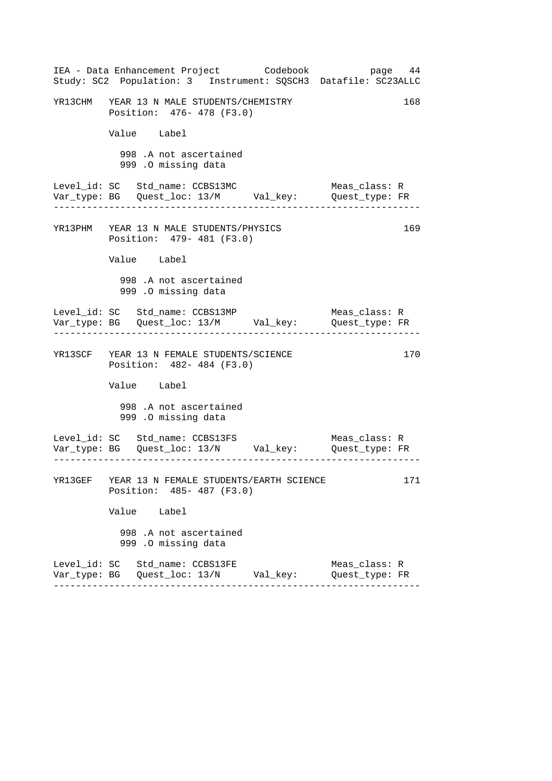|  |                                                                        | IEA - Data Enhancement Project Codebook<br>Study: SC2 Population: 3 Instrument: SQSCH3 Datafile: SC23ALLC |                                 | page 44 |
|--|------------------------------------------------------------------------|-----------------------------------------------------------------------------------------------------------|---------------------------------|---------|
|  | YR13CHM YEAR 13 N MALE STUDENTS/CHEMISTRY<br>Position: 476- 478 (F3.0) |                                                                                                           |                                 | 168     |
|  | Value Label                                                            |                                                                                                           |                                 |         |
|  | 998 .A not ascertained<br>999 .0 missing data                          |                                                                                                           |                                 |         |
|  | Level_id: SC Std_name: CCBS13MC                                        | Var_type: BG    Quest_loc: 13/M    Val_key:    Quest_type: FR                                             | Meas_class: R                   |         |
|  | YR13PHM YEAR 13 N MALE STUDENTS/PHYSICS<br>Position: 479- 481 (F3.0)   |                                                                                                           |                                 | 169     |
|  | Value Label                                                            |                                                                                                           |                                 |         |
|  | 998 .A not ascertained<br>999 .O missing data                          |                                                                                                           |                                 |         |
|  | Level_id: SC Std_name: CCBS13MP                                        | Var_type: BG    Quest_loc: 13/M    Val_key:    Quest_type: FR                                             | Meas_class: R                   |         |
|  | YR13SCF YEAR 13 N FEMALE STUDENTS/SCIENCE<br>Position: 482- 484 (F3.0) |                                                                                                           |                                 | 170     |
|  | Value Label                                                            |                                                                                                           |                                 |         |
|  | 998 .A not ascertained<br>999 .O missing data                          |                                                                                                           |                                 |         |
|  |                                                                        | Level_id: SC Std_name: CCBS13FS Meas_class: R<br>Var_type: BG Quest_loc: 13/N Val_key: Quest_type: FR     |                                 |         |
|  | Position: 485- 487 (F3.0)                                              | YR13GEF YEAR 13 N FEMALE STUDENTS/EARTH SCIENCE                                                           |                                 | 171     |
|  | Value Label                                                            |                                                                                                           |                                 |         |
|  | 998 .A not ascertained<br>999 .O missing data                          |                                                                                                           |                                 |         |
|  | Level_id: SC Std_name: CCBS13FE                                        |                                                                                                           | Meas_class: R<br>Quest_type: FR |         |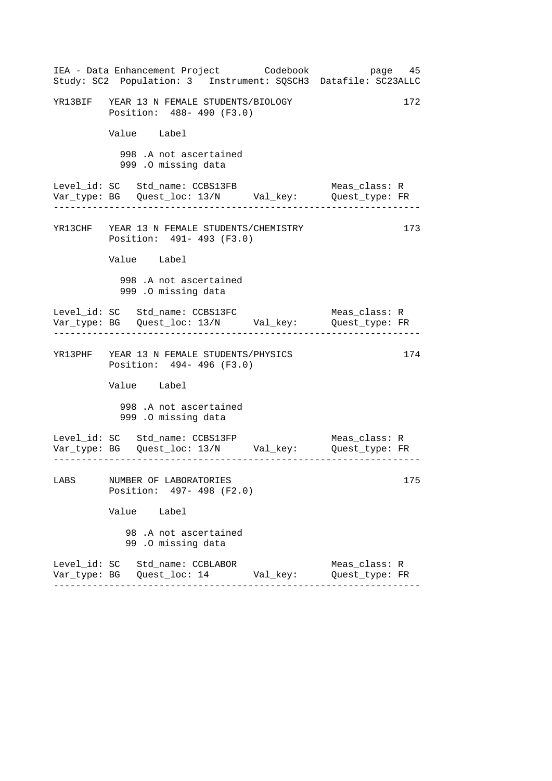|      | IEA - Data Enhancement Project Codebook<br>Study: SC2 Population: 3 Instrument: SQSCH3 Datafile: SC23ALLC |  | page 45                                  |     |
|------|-----------------------------------------------------------------------------------------------------------|--|------------------------------------------|-----|
|      | YR13BIF YEAR 13 N FEMALE STUDENTS/BIOLOGY<br>Position: 488- 490 (F3.0)                                    |  |                                          | 172 |
|      | Value Label                                                                                               |  |                                          |     |
|      | 998 .A not ascertained<br>999 .O missing data                                                             |  |                                          |     |
|      | Level_id: SC Std_name: CCBS13FB<br>Var_type: BG    Quest_loc: 13/N    Val_key:    Quest_type: FR          |  | Meas_class: R                            |     |
|      | YR13CHF YEAR 13 N FEMALE STUDENTS/CHEMISTRY<br>Position: 491- 493 (F3.0)                                  |  |                                          | 173 |
|      | Value Label                                                                                               |  |                                          |     |
|      | 998 .A not ascertained<br>999 .0 missing data                                                             |  |                                          |     |
|      | Level_id: SC Std_name: CCBS13FC                                                                           |  | Meas_class: R<br>. 2020 2020 2020 2020 2 |     |
|      | YR13PHF YEAR 13 N FEMALE STUDENTS/PHYSICS<br>Position: 494- 496 (F3.0)                                    |  |                                          | 174 |
|      | Value Label                                                                                               |  |                                          |     |
|      | 998 .A not ascertained<br>999 .O missing data                                                             |  |                                          |     |
|      | Level_id: SC Std_name: CCBS13FP                                                                           |  | Meas_class: R                            |     |
| LABS | NUMBER OF LABORATORIES<br>Position: 497- 498 (F2.0)                                                       |  |                                          | 175 |
|      | Value Label                                                                                               |  |                                          |     |
|      | 98.A not ascertained<br>99.0 missing data                                                                 |  |                                          |     |
|      | Level_id: SC Std_name: CCBLABOR<br>Var_type: BG    Quest_loc: 14           Val_key:                       |  | Meas_class: R<br>Quest_type: FR          |     |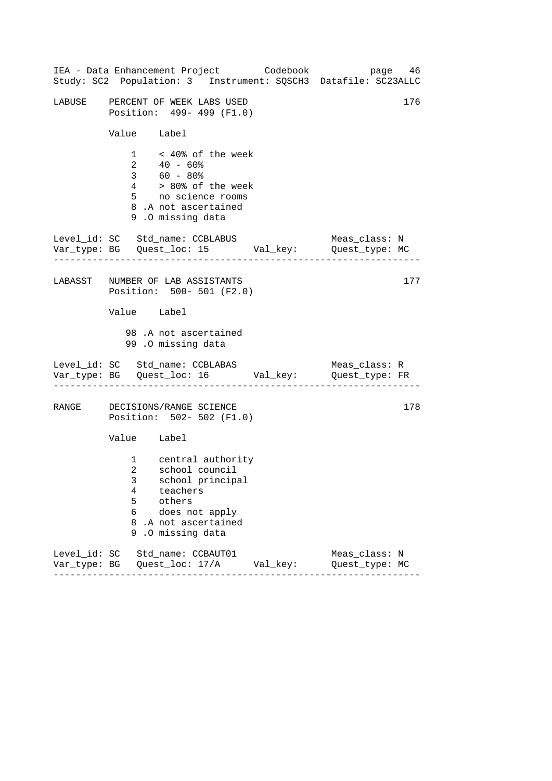|       | IEA - Data Enhancement Project Codebook page 46<br>Study: SC2 Population: 3 Instrument: SQSCH3 Datafile: SC23ALLC                                                   |                                 |
|-------|---------------------------------------------------------------------------------------------------------------------------------------------------------------------|---------------------------------|
|       | LABUSE PERCENT OF WEEK LABS USED<br>Position: 499- 499 (F1.0)                                                                                                       | 176                             |
|       | Value Label                                                                                                                                                         |                                 |
|       | $1 \times 40$ % of the week<br>$40 - 60$ %<br>$2^{\circ}$<br>$3 60 - 80$<br>$4$ > 80% of the week<br>5 no science rooms<br>8.A not ascertained<br>9.0 missing data  |                                 |
|       | Level_id: SC Std_name: CCBLABUS<br>Var_type: BG    Quest_loc: 15    Val_key:    Quest_type: MC                                                                      | Meas_class: N                   |
|       | LABASST NUMBER OF LAB ASSISTANTS<br>Position: 500- 501 (F2.0)                                                                                                       | 177                             |
|       | Value Label                                                                                                                                                         |                                 |
|       | 98.A not ascertained<br>99.0 missing data                                                                                                                           |                                 |
|       | Level_id: SC Std_name: CCBLABAS<br>Var_type: BG    Quest_loc: 16    Val_key:    Quest_type: FR                                                                      | Meas_class: R                   |
| RANGE | DECISIONS/RANGE SCIENCE<br>Position: 502- 502 (F1.0)                                                                                                                | 178                             |
|       | Value Label                                                                                                                                                         |                                 |
|       | 1 central authority<br>2 school council<br>3 school principal<br>4<br>teachers<br>5<br>others<br>6<br>does not apply<br>8.A not ascertained<br>9<br>.O missing data |                                 |
|       | Level_id: SC Std_name: CCBAUT01<br>Var_type: BG    Quest_loc: 17/A    Val_key:                                                                                      | Meas_class: N<br>Quest_type: MC |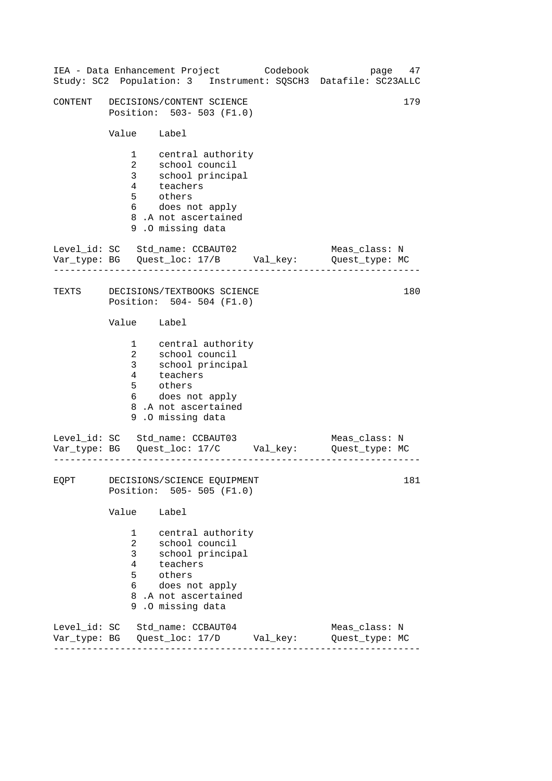| IEA - Data Enhancement Project  |                                                                                         |                                                                                                                                            |  | Codebook | Study: SC2 Population: 3 Instrument: SQSCH3 Datafile: SC23ALLC                 | 47<br>page |
|---------------------------------|-----------------------------------------------------------------------------------------|--------------------------------------------------------------------------------------------------------------------------------------------|--|----------|--------------------------------------------------------------------------------|------------|
| CONTENT                         |                                                                                         | DECISIONS/CONTENT SCIENCE<br>Position: 503-503 (F1.0)                                                                                      |  |          |                                                                                | 179        |
|                                 | Value Label                                                                             |                                                                                                                                            |  |          |                                                                                |            |
|                                 | $\mathbf{1}$<br>$\overline{a}$<br>3 <sup>7</sup><br>$4\overline{ }$<br>5<br>6           | central authority<br>school council<br>school principal<br>teachers<br>others<br>does not apply<br>8.A not ascertained<br>9.0 missing data |  |          |                                                                                |            |
| Level_id: SC Std_name: CCBAUT02 |                                                                                         |                                                                                                                                            |  |          | Meas class: N<br>Quest_type: MC                                                |            |
| TEXTS                           |                                                                                         | DECISIONS/TEXTBOOKS SCIENCE<br>Position: 504-504 (F1.0)                                                                                    |  |          |                                                                                | 180        |
|                                 | Value Label                                                                             |                                                                                                                                            |  |          |                                                                                |            |
|                                 | $1 \quad \blacksquare$<br>$\overline{a}$<br>3 <sup>7</sup><br>$4\overline{ }$<br>5<br>6 | central authority<br>school council<br>school principal<br>teachers<br>others<br>does not apply<br>8.A not ascertained<br>9.0 missing data |  |          |                                                                                |            |
| Level_id: SC Std_name: CCBAUT03 |                                                                                         |                                                                                                                                            |  |          | Meas_class: N<br>Quest_type: MC                                                |            |
| EQPT                            |                                                                                         | DECISIONS/SCIENCE EQUIPMENT<br>Position: 505- 505 (F1.0)                                                                                   |  |          |                                                                                | 181        |
|                                 | Value Label                                                                             |                                                                                                                                            |  |          |                                                                                |            |
|                                 | $1 \quad \blacksquare$<br>$\overline{a}$<br>3 <sup>7</sup><br>$4\overline{ }$<br>5<br>6 | central authority<br>school council<br>school principal<br>teachers<br>others<br>does not apply<br>8.A not ascertained<br>9.0 missing data |  |          |                                                                                |            |
| Level_id: SC Std_name: CCBAUT04 |                                                                                         |                                                                                                                                            |  |          | Meas_class: N<br>Var_type: BG    Quest_loc: 17/D    Val_key:    Quest_type: MC |            |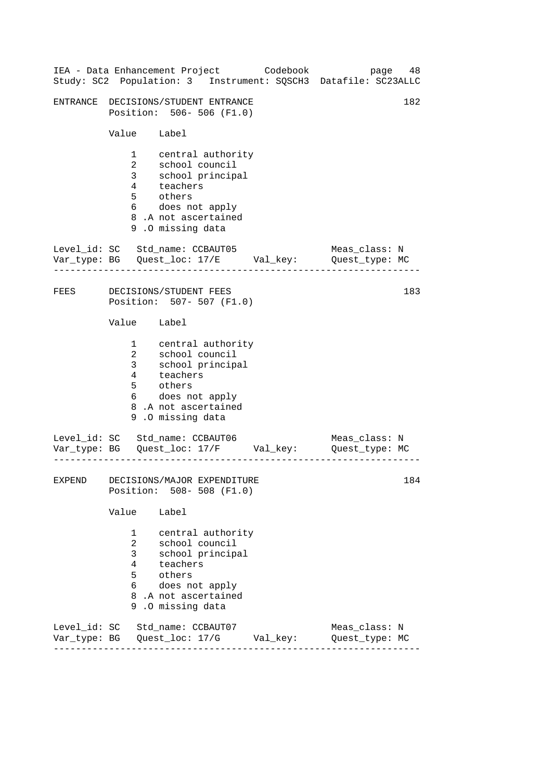|               |                                                                                         | IEA - Data Enhancement Project Codebook                                                                                                    |  | Study: SC2 Population: 3 Instrument: SQSCH3 Datafile: SC23ALLC                 | 48<br>page |
|---------------|-----------------------------------------------------------------------------------------|--------------------------------------------------------------------------------------------------------------------------------------------|--|--------------------------------------------------------------------------------|------------|
|               |                                                                                         | ENTRANCE DECISIONS/STUDENT ENTRANCE<br>Position: 506- 506 (F1.0)                                                                           |  |                                                                                | 182        |
|               | Value Label                                                                             |                                                                                                                                            |  |                                                                                |            |
|               | $\mathbf{1}$<br>$\overline{a}$<br>3 <sup>7</sup><br>$4\overline{ }$<br>5<br>6           | central authority<br>school council<br>school principal<br>teachers<br>others<br>does not apply<br>8.A not ascertained<br>9.0 missing data |  |                                                                                |            |
|               |                                                                                         | Level_id: SC Std_name: CCBAUT05                                                                                                            |  | Meas_class: N<br>Quest_type: MC                                                |            |
| FEES          |                                                                                         | DECISIONS/STUDENT FEES<br>Position: 507- 507 (F1.0)                                                                                        |  |                                                                                | 183        |
|               | Value Label                                                                             |                                                                                                                                            |  |                                                                                |            |
|               | $1 \quad \blacksquare$<br>$\overline{a}$<br>3 <sup>7</sup><br>4<br>5<br>6               | central authority<br>school council<br>school principal<br>teachers<br>others<br>does not apply<br>8.A not ascertained<br>9.0 missing data |  |                                                                                |            |
|               |                                                                                         | Level_id: SC Std_name: CCBAUT06                                                                                                            |  | Meas_class: N<br>Quest_type: MC                                                |            |
| <b>EXPEND</b> |                                                                                         | DECISIONS/MAJOR EXPENDITURE<br>Position: 508- 508 (F1.0)                                                                                   |  |                                                                                | 184        |
|               | Value Label                                                                             |                                                                                                                                            |  |                                                                                |            |
|               | $1 \quad \blacksquare$<br>$\overline{a}$<br>3 <sup>7</sup><br>$4\overline{ }$<br>5<br>6 | central authority<br>school council<br>school principal<br>teachers<br>others<br>does not apply<br>8.A not ascertained<br>9.0 missing data |  |                                                                                |            |
|               |                                                                                         | Level_id: SC Std_name: CCBAUT07                                                                                                            |  | Meas_class: N<br>Var_type: BG    Quest_loc: 17/G    Val_key:    Quest_type: MC |            |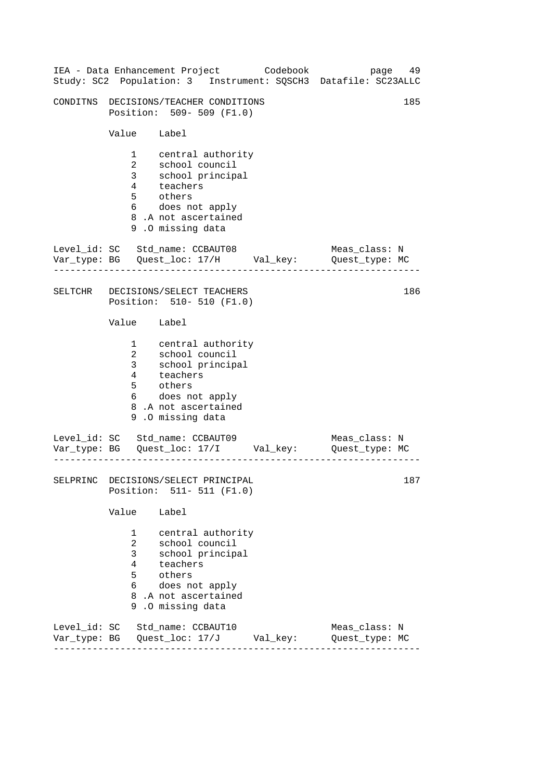|          |                                                                                         |                                                                                                                                              | IEA - Data Enhancement Project Codebook | page<br>Study: SC2 Population: 3 Instrument: SQSCH3 Datafile: SC23ALLC | 49  |
|----------|-----------------------------------------------------------------------------------------|----------------------------------------------------------------------------------------------------------------------------------------------|-----------------------------------------|------------------------------------------------------------------------|-----|
|          |                                                                                         | CONDITNS DECISIONS/TEACHER CONDITIONS<br>Position: 509- 509 (F1.0)                                                                           |                                         |                                                                        | 185 |
|          | Value Label                                                                             |                                                                                                                                              |                                         |                                                                        |     |
|          | $1 \quad \blacksquare$<br>$\overline{2}$<br>3 <sup>7</sup><br>$4\overline{ }$<br>5<br>6 | central authority<br>school council<br>school principal<br>teachers<br>others<br>does not apply<br>8.A not ascertained<br>9.0 missing data   |                                         |                                                                        |     |
|          |                                                                                         | Level_id: SC Std_name: CCBAUT08                                                                                                              |                                         | Meas_class: N<br>Quest_type: MC                                        |     |
| SELTCHR  |                                                                                         | DECISIONS/SELECT TEACHERS<br>Position: 510- 510 (F1.0)                                                                                       |                                         |                                                                        | 186 |
|          | Value Label                                                                             |                                                                                                                                              |                                         |                                                                        |     |
|          | $1 \quad \blacksquare$<br>$\overline{a}$<br>3 <sup>7</sup><br>$4\overline{ }$<br>5      | central authority<br>school council<br>school principal<br>teachers<br>others<br>6 does not apply<br>8.A not ascertained<br>9.0 missing data |                                         |                                                                        |     |
|          |                                                                                         | Level_id: SC Std_name: CCBAUT09                                                                                                              |                                         | Meas_class: N<br>Quest_type: MC                                        |     |
| SELPRINC |                                                                                         | DECISIONS/SELECT PRINCIPAL<br>Position: 511- 511 (F1.0)                                                                                      |                                         |                                                                        | 187 |
|          | Value                                                                                   | Label                                                                                                                                        |                                         |                                                                        |     |
|          | $1 \quad \Box$<br>$\overline{2}$<br>3<br>$\overline{4}$<br>5<br>6                       | central authority<br>school council<br>school principal<br>teachers<br>others<br>does not apply<br>8.A not ascertained<br>9.0 missing data   |                                         |                                                                        |     |
|          |                                                                                         | Level_id: SC Std_name: CCBAUT10                                                                                                              |                                         | Meas_class: N<br>Quest_type: MC                                        |     |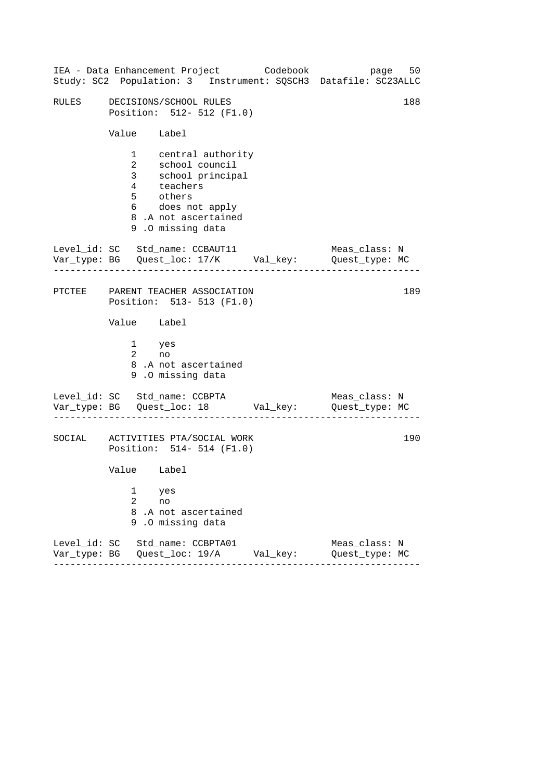|                                                                                |                                                               |                                                                                                                                                        |  | IEA - Data Enhancement Project Codebook | page 50<br>Study: SC2 Population: 3 Instrument: SQSCH3 Datafile: SC23ALLC      |     |  |  |
|--------------------------------------------------------------------------------|---------------------------------------------------------------|--------------------------------------------------------------------------------------------------------------------------------------------------------|--|-----------------------------------------|--------------------------------------------------------------------------------|-----|--|--|
| RULES                                                                          | DECISIONS/SCHOOL RULES<br>Position: 512- 512 (F1.0)           |                                                                                                                                                        |  |                                         |                                                                                |     |  |  |
|                                                                                | Value Label                                                   |                                                                                                                                                        |  |                                         |                                                                                |     |  |  |
|                                                                                |                                                               | 1 central authority<br>2 school council<br>3 school principal<br>4 teachers<br>5 others<br>6 does not apply<br>8.A not ascertained<br>9.0 missing data |  |                                         |                                                                                |     |  |  |
| Level_id: SC Std_name: CCBAUT11                                                |                                                               |                                                                                                                                                        |  |                                         | Meas_class: N<br>Var_type: BG    Quest_loc: 17/K    Val_key:    Quest_type: MC |     |  |  |
|                                                                                | PTCTEE PARENT TEACHER ASSOCIATION<br>Position: 513-513 (F1.0) |                                                                                                                                                        |  |                                         |                                                                                |     |  |  |
|                                                                                | Value Label                                                   |                                                                                                                                                        |  |                                         |                                                                                |     |  |  |
|                                                                                | 1 yes<br>$2$ no                                               | 8.A not ascertained<br>9.0 missing data                                                                                                                |  |                                         |                                                                                |     |  |  |
| Level_id: SC Std_name: CCBPTA                                                  | . <u>_ _ _ _ _ _ _ _ _ _ _ _ _</u> _ _ _                      |                                                                                                                                                        |  |                                         | Meas_class: N<br>Var_type: BG    Quest_loc: 18    Val_key:    Quest_type: MC   |     |  |  |
| SOCIAL ACTIVITIES PTA/SOCIAL WORK                                              |                                                               | Position: 514- 514 (F1.0)                                                                                                                              |  |                                         |                                                                                | 190 |  |  |
|                                                                                | Value Label                                                   |                                                                                                                                                        |  |                                         |                                                                                |     |  |  |
|                                                                                | 1<br>2<br>8<br>9                                              | yes<br>no<br>.A not ascertained<br>.0 missing data                                                                                                     |  |                                         |                                                                                |     |  |  |
| Level_id: SC Std_name: CCBPTA01<br>Var_type: BG    Quest_loc: 19/A    Val_key: |                                                               |                                                                                                                                                        |  |                                         | Meas_class: N<br>Quest_type: MC                                                |     |  |  |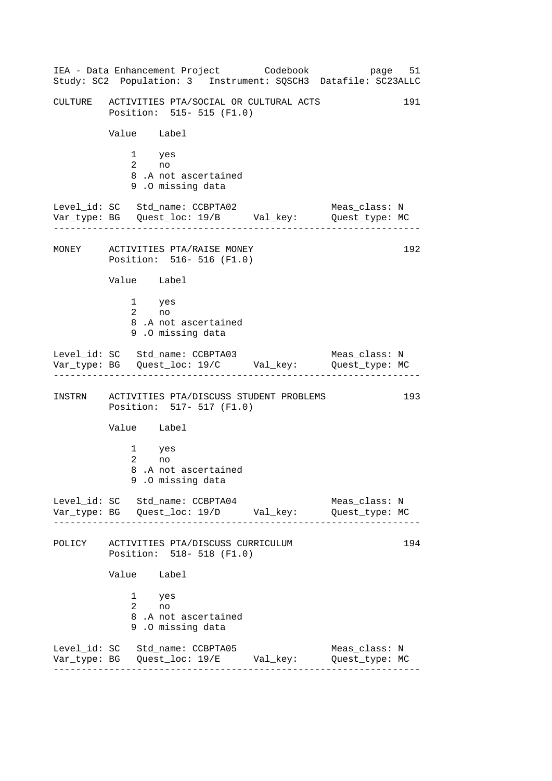------------------------------------------------------------------ ------------------------------------------------------------------ ------------------------------------------------------------------ ------------------------------------------------------------------ IEA - Data Enhancement Project Codebook page 51 Study: SC2 Population: 3 Instrument: SQSCH3 Datafile: SC23ALLC CULTURE ACTIVITIES PTA/SOCIAL OR CULTURAL ACTS 191 Position: 515- 515 (F1.0) Value Label 1 yes 2 no 8 .A not ascertained 9 .O missing data Level\_id: SC Std\_name: CCBPTA02 Meas\_class: N Var\_type: BG Quest\_loc: 19/B Val\_key: Quest\_type: MC MONEY ACTIVITIES PTA/RAISE MONEY 192 Position: 516- 516 (F1.0) Value Label 1 yes 2 no 8 .A not ascertained 9 .O missing data Level\_id: SC Std\_name: CCBPTA03 Meas\_class: N Var\_type: BG Quest\_loc: 19/C Val\_key: Quest\_type: MC INSTRN ACTIVITIES PTA/DISCUSS STUDENT PROBLEMS 193 Position: 517- 517 (F1.0) Value Label 1 yes 2 no 8 .A not ascertained 9 .O missing data Level id: SC Std name: CCBPTA04 Meas class: N Var\_type: BG Quest\_loc: 19/D Val\_key: Quest\_type: MC POLICY ACTIVITIES PTA/DISCUSS CURRICULUM 194 Position: 518- 518 (F1.0) Value Label 1 yes 2 no 8 .A not ascertained 9 .O missing data Level\_id: SC Std\_name: CCBPTA05 Meas\_class: N Var\_type: BG Quest\_loc: 19/E Val\_key: Quest\_type: MC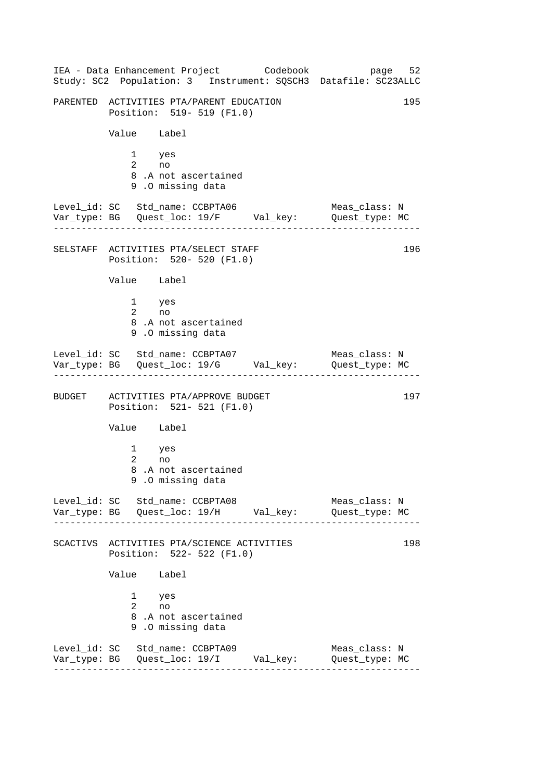------------------------------------------------------------------ ------------------------------------------------------------------ ------------------------------------------------------------------ ------------------------------------------------------------------ IEA - Data Enhancement Project Codebook page 52 Study: SC2 Population: 3 Instrument: SQSCH3 Datafile: SC23ALLC PARENTED ACTIVITIES PTA/PARENT EDUCATION 195 Position: 519- 519 (F1.0) Value Label 1 yes 2 no 8 .A not ascertained 9 .O missing data Level\_id: SC Std\_name: CCBPTA06 Meas\_class: N Var\_type: BG Quest\_loc: 19/F Val\_key: Quest\_type: MC SELSTAFF ACTIVITIES PTA/SELECT STAFF 196 Position: 520- 520 (F1.0) Value Label 1 yes 2 no 8 .A not ascertained 9 .O missing data Level\_id: SC Std\_name: CCBPTA07 Meas\_class: N Var\_type: BG Quest\_loc: 19/G Val\_key: Quest\_type: MC BUDGET ACTIVITIES PTA/APPROVE BUDGET 197 Position: 521- 521 (F1.0) Value Label 1 yes 2 no 8 .A not ascertained 9 .O missing data Level id: SC Std name: CCBPTA08 Meas class: N Var\_type: BG Quest\_loc: 19/H Val\_key: Quest\_type: MC SCACTIVS ACTIVITIES PTA/SCIENCE ACTIVITIES 198 Position: 522- 522 (F1.0) Value Label 1 yes 2 no 8 .A not ascertained 9 .O missing data Level\_id: SC Std\_name: CCBPTA09 Meas\_class: N Var\_type: BG Quest\_loc: 19/I Val\_key: Quest\_type: MC